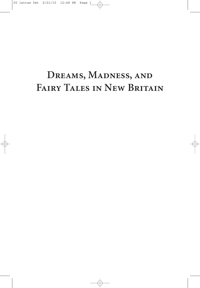# **Dreams, Madness, and Fairy Tales in New Britain**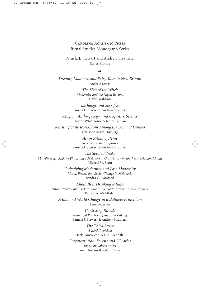### Carolina Academic Press Ritual Studies Monograph Series

Pamela J. Stewart and Andrew Strathern Series Editors

❧

*Dreams, Madness, and Fairy Tales in New Britain* Andrew Lattas

> *The Sign of the Witch Modernity and the Pagan Revival* David Waldron

*Exchange and Sacrifice* Pamela J. Stewart & Andrew Strathern

*Religion, Anthropology, and Cognitive Science* Harvey Whitehouse & James Laidlaw

*Resisting State Iconoclasm Among the Loma of Guinea* Christian Kordt Højbjerg

> *Asian Ritual Systems Syncretisms and Ruptures* Pamela J. Stewart & Andrew Strathern

*The Severed Snake Matrilineages, Making Place, and a Melanesian Christianity in Southeast Solomon Islands* Michael W. Scott

> *Embodying Modernity and Post-Modernity Ritual, Praxis, and Social Change in Melanesia* Sandra C. Bamford

*Xhosa Beer Drinking Rituals Power, Practice and Performance in the South African Rural Periphery* Patrick A. McAllister

*Ritual and World Change in a Balinese Princedom* Lene Pedersen

> *Contesting Rituals Islam and Practices of Identity-Making* Pamela J. Stewart & Andrew Strathern

*The Third Bagre A Myth Revisited* Jack Goody & S.W.D.K. Gandah

*Fragments from Forests and Libraries Essays by Valerio Valeri* Janet Hoskins & Valerio Valeri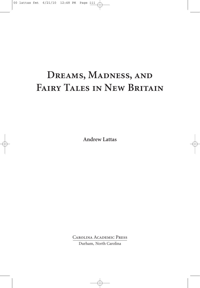# **Dreams, Madness, and Fairy Tales in New Britain**

**Andrew Lattas**

Carolina Academic Press Durham, North Carolina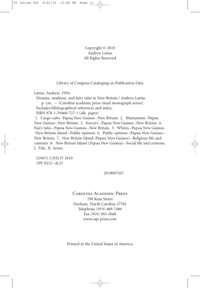### Copyright © 2010 Andrew Lattas All Rights Reserved

Library of Congress Cataloging-in-Publication Data

Lattas, Andrew, 1956-

Dreams, madness, and fairy tales in New Britain / Andrew Lattas.

p. cm. -- (Carolina academic press ritual monograph series) Includes bibliographical references and index.

ISBN 978-1-59460-727-1 (alk. paper)

1. Cargo cults--Papua New Guinea--New Britain. 2. Shamanism--Papua New Guinea--New Britain. 3. Sorcery--Papua New Guinea--New Britain. 4. Fairy tales--Papua New Guinea--New Britain. 5. Whites--Papua New Guinea- -New Britain Island--Public opinion. 6. Public opinion--Papua New Guinea-- New Britain. 7. New Britain Island (Papua New Guinea)--Religious life and customs. 8. New Britain Island (Papua New Guinea)--Social life and customs. I. Title. II. Series.

GN671.5.N5L37 2010 299'.9212--dc22

2010007567

### Carolina Academic Press

700 Kent Street Durham, North Carolina 27701 Telephone (919) 489-7486 Fax (919) 493-5668 www.cap-press.com

Printed in the United States of America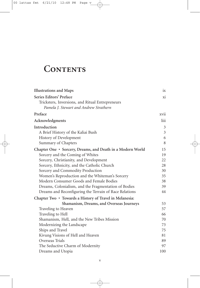# CONTENTS

| <b>Illustrations and Maps</b>                              | 1X             |
|------------------------------------------------------------|----------------|
| Series Editors' Preface                                    | xi             |
| Tricksters, Inversions, and Ritual Entrepreneurs           |                |
| Pamela J. Stewart and Andrew Strathern                     |                |
| Preface                                                    | xvii           |
| Acknowledgments                                            | liii           |
| Introduction                                               | 3              |
| A Brief History of the Kaliai Bush                         | $\mathfrak{Z}$ |
| History of Development                                     | 6              |
| Summary of Chapters                                        | 8              |
| Chapter One • Sorcery, Dreams, and Death in a Modern World | 15             |
| Sorcery and the Coming of Whites                           | 19             |
| Sorcery, Christianity, and Development                     | 22             |
| Sorcery, Ethnicity, and the Catholic Church                | 28             |
| Sorcery and Commodity Production                           | 30             |
| Women's Reproduction and the Whiteman's Sorcery            | 35             |
| Modern Consumer Goods and Female Bodies                    | 38             |
| Dreams, Colonialism, and the Fragmentation of Bodies       | 39             |
| Dreams and Reconfiguring the Terrain of Race Relations     | 44             |
| Chapter Two • Towards a History of Travel in Melanesia:    |                |
| Shamanism, Dreams, and Overseas Journeys                   | 53             |
| Traveling to Heaven                                        | 57             |
| Traveling to Hell                                          | 66             |
| Shamanism, Hell, and the New Tribes Mission                | 70             |
| Modernizing the Landscape                                  | 73             |
| Ships and Travel                                           | 75             |
| Kivung Visions of Hell and Heaven                          | 81             |
| Overseas Trials                                            | 89             |
| The Seductive Charm of Modernity                           | 97             |
| Dreams and Utopia                                          | 100            |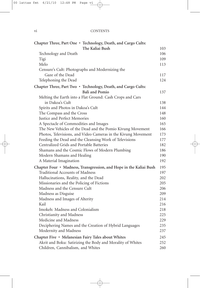### vi CONTENTS

| Chapter Three, Part One • Technology, Death, and Cargo Cults:      |     |
|--------------------------------------------------------------------|-----|
| The Kaliai Bush                                                    | 103 |
| Technology and Death                                               | 106 |
| Tigi                                                               | 109 |
| Melo                                                               | 113 |
| Censure's Cult: Photographs and Modernizing the                    |     |
| Gaze of the Dead                                                   | 117 |
| Telephoning the Dead                                               | 124 |
| Chapter Three, Part Two • Technology, Death, and Cargo Cults:      |     |
| <b>Bali and Pomio</b>                                              | 137 |
| Melting the Earth into a Flat Ground: Cash Crops and Cars          |     |
| in Dakoa's Cult                                                    | 138 |
| Spirits and Photos in Dakoa's Cult                                 | 144 |
| The Compass and the Cross                                          | 148 |
| Justice and Perfect Memories                                       | 160 |
| A Spectacle of Commodities and Images                              | 165 |
| The New Vehicles of the Dead and the Pomio Kivung Movement         | 166 |
| Photos, Televisions, and Video Cameras in the Kivung Movement      | 173 |
| Feeding the Dead and the Cleansing Work of Televisions             | 177 |
| Centralized Grids and Portable Batteries                           | 182 |
| Shamans and the Cosmic Flows of Modern Plumbing                    | 186 |
| Modern Shamans and Healing                                         | 190 |
| A Material Imagination                                             | 192 |
| Chapter Four • Madness, Transgression, and Hope in the Kaliai Bush | 195 |
| <b>Traditional Accounts of Madness</b>                             | 197 |
| Hallucinations, Reality, and the Dead                              | 202 |
| Missionaries and the Policing of Fictions                          | 205 |
| Madness and the Censure Cult                                       | 206 |
| Madness as Disguise                                                | 209 |
| Madness and Images of Alterity                                     | 214 |
| Kail                                                               | 216 |
| Imokeh: Madness and Colonialism                                    | 218 |
| Christianity and Madness<br>Medicine and Madness                   | 225 |
|                                                                    | 229 |
| Deciphering Names and the Creation of Hybrid Languages             | 235 |
| Modernity and Madness                                              | 237 |
| Chapter Five • Melanesian Fairy Tales about Whites                 | 245 |
| Akrit and Boku: Satirizing the Body and Morality of Whites         | 252 |
| Children, Cannibalism, and Whites                                  | 260 |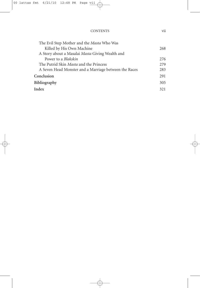| The Evil Step Mother and the Masta Who Was            |      |
|-------------------------------------------------------|------|
| Killed by His Own Machine                             | 268  |
| A Story about a Masalai Masta Giving Wealth and       |      |
| Power to a <i>Blakskin</i>                            | 2.76 |
| The Putrid Skin <i>Masta</i> and the Princess         | 2.79 |
| A Seven Head Monster and a Marriage between the Races | 283  |
| Conclusion                                            | 291  |
| <b>Bibliography</b>                                   | 305  |
| Index                                                 | 321  |

CONTENTS vii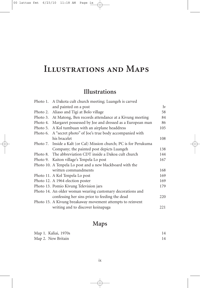## **Illustrations and Maps**

### **Illustrations**

|          | Photo 1. A Dakota cult church meeting; Luangeh is carved           |           |
|----------|--------------------------------------------------------------------|-----------|
|          | and painted on a post                                              | $\rm{lv}$ |
|          | Photo 2. Aliaso and Tigi at Bolo village                           | 58        |
| Photo 3. | At Matong, Ben records attendance at a Kivung meeting              | 84        |
| Photo 4. | Margaret possessed by Joe and dressed as a European man            | 86        |
| Photo 5. | A Kol tumbuan with an airplane headdress                           | 105       |
| Photo 6. | A "secret photo" of Joe's true body accompanied with               |           |
|          | his bracelet                                                       | 108       |
|          | Photo 7. Inside a Kalt (or Cal) Mission church; PC is for Perukuma |           |
|          | Company; the painted post depicts Luangeh                          | 138       |
| Photo 8. | The abbreviation CDT inside a Dakoa cult church                    | 144       |
|          | Photo 9. Kaiton village's Tenpela Lo post                          | 167       |
|          | Photo 10. A Tenpela Lo post and a new blackboard with the          |           |
|          | written commandments                                               | 168       |
|          | Photo 11. A Kol Tenpela Lo post                                    | 169       |
|          | Photo 12. A 1964 election poster                                   | 169       |
|          | Photo 13. Pomio Kivung Television jars                             | 179       |
|          | Photo 14. An older woman wearing customary decorations and         |           |
|          | confessing her sins prior to feeding the dead                      | 220       |
|          | Photo 15. A Kivung breakaway movement attempts to reinvent         |           |
|          | writing and to discover koinapaga                                  | 221       |

## **Maps**

| Map 1. Kaliai, 1970s | 14 |
|----------------------|----|
| Map 2. New Britain   | 14 |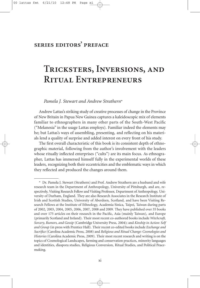### **series editors' preface**

## **Tricksters, Inversions, and Ritual Entrepreneurs**

*Pamela J. Stewart and Andrew Strathern*\*

Andrew Lattas's striking study of creative processes of change in the Province of New Britain in Papua New Guinea captures a kaleidoscopic mix of elements familiar to ethnographers in many other parts of the South-West Pacific ("Melanesia" in the usage Lattas employs). Familiar indeed the elements may be; but Lattas's ways of assembling, presenting, and reflecting on his materials lend a quality of surprise and added interest on every front of his study.

The first overall characteristic of this book is its consistent depth of ethnographic material, following from the author's involvement with the leaders whose ritually inflected enterprises ("cults") are its main focus. As ethnographer, Lattas has immersed himself fully in the experimental worlds of these leaders, recognizing both their eccentricities and the emblematic ways in which they reflected and produced the changes around them.

<sup>\*</sup> Dr. Pamela J. Stewart (Strathern) and Prof. Andrew Strathern are a husband and wife research team in the Department of Anthropology, University of Pittsburgh, and are, respectively, Visiting Research Fellow and Visiting Professor, Department of Anthropology, University of Durham, England. They are also Research Associates in the Research Institute of Irish and Scottish Studies, University of Aberdeen, Scotland, and have been Visiting Research Fellows at the Institute of Ethnology, Academia Sinica, Taipei, Taiwan during parts of 2002, 2003, 2004, 2005, 2006, 2007, 2008 and 2009. They have published over 35 books and over 175 articles on their research in the Pacific, Asia (mainly Taiwan), and Europe (primarily Scotland and Ireland). Their most recent co-authored books include *Witchcraft, Sorcery, Rumors, and Gossip* (Cambridge University Press, 2004); and *Kinship in Action: Self and Group* (in press with Prentice Hall). Their recent co-edited books include *Exchange and Sacrifice* (Carolina Academic Press, 2008) and *Religious and Ritual Change: Cosmologies and Histories* (Carolina Academic Press, 2009). Their most recent research and writing is on the topics of Cosmological Landscapes, farming and conservation practices, minority languages and identities, diaspora studies, Religious Conversion, Ritual Studies, and Political Peacemaking.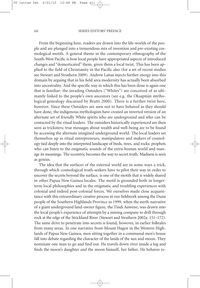From the beginning here, readers are drawn into the life-worlds of the people and are plunged into a tremendous mix of invention and pre-existing cosmological motifs. A general theme in the contemporary ethnography of the South-West Pacific is how local people have appropriated aspects of introduced changes and "domesticated" them, given them a local twist. This has been applied to the field of Christianity in the Pacific also (for a set of recent studies see Stewart and Strathern 2009). Andrew Lattas injects further energy into this domain by arguing that in his field area modernity has actually been absorbed into ancestrality. And the specific way in which this has been done is again one that is familiar: the invading Outsiders ("Whites") are conceived of as ultimately linked to the people's own ancestors (see e.g. the Oksapmin mythological genealogy discussed by Brutti 2000). There is a further twist here, however. Since these Outsiders are seen not to have behaved as they should have done, the indigenous mythologists have created an inverted version of an alternate set of friendly White spirits who are underground and who can be contacted by the ritual leaders. The outsiders historically experienced are then seen as tricksters; true messages about wealth and well-being are to be found by accessing the alternate imagined underground world. The local leaders set themselves up as ritual entrepreneurs, manipulators and makers of cosmology tied deeply into the interpreted landscape of birds, trees, and rocks: prophets who can listen to the enigmatic sounds of the extra-human world and manage its meanings. The eccentric becomes the way to secret truth. Madness is seen as genius.

The idea that the surfaces of the external world are in some ways a trick, through which cosmological truth-seekers have to pilot their way in order to uncover the secrets beyond the surface, is one of the motifs that is widely shared in other Papua New Guinea locales. The motif is grounded both in longerterm local philosophies and in the enigmatic and troubling experiences with colonial and indeed post-colonial forces. We ourselves made close acquaintance with this extraordinary creative process in our fieldwork among the Duna people of the Southern Highlands Province in 1999, when the myth-narrative of a giant underground land-owner figure, the Tindi Auwene, was drawn into the local people's experience of attempts by a mining company to drill through rock at the edge of the Strickland River (Stewart and Strathern 2002a: 151–172). The same drive to penetrate into secrets is found, however, in earlier folktales from many areas. In one narrative from Mount Hagen in the Western Highlands of Papua New Guinea, men sitting together in a communal men's house fall into debate regarding the character of the lands of the sun and moon. They nominate one man to go and find out. He travels down river inside a log and finds the moon's daughter and the moon himself, her father. He behaves re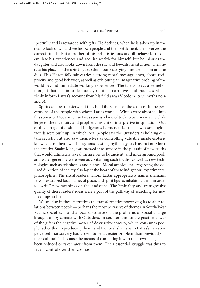spectfully and is rewarded with gifts. He declines, when he is taken up in the sky, to look down and see his own people and their settlement. He observes the correct rituals. But a brother of his, who is jealous and ill-behaved, tries to emulate his experiences and acquire wealth for himself; but he misuses the daughter and also looks down from the sky and bewails his situation when he sees his place, so the spirit figure (the moon) carrying him drops him and he dies. This Hagen folk tale carries a strong moral message, then, about reciprocity and good behavior, as well as exhibiting an imaginative probing of the world beyond immediate working experiences. The tale conveys a kernel of thought that is akin to elaborately ramified narratives and practices which richly inform Lattas's account from his field area (Vicedom 1977; myths no 4 and 5).

Spirits can be tricksters, but they hold the secrets of the cosmos. In the perceptions of the people with whom Lattas worked, Whites were absorbed into this scenario. Modernity itself was seen as a kind of trick to be unraveled, a challenge to the ingenuity and prophetic insight of interpretive imagination. Out of this farrago of desire and indigenous hermeneutic skills new cosmological worlds were built up, in which local people saw the Outsiders as holding certain secrets, but also saw themselves as controlling valuable inside esoteric knowledge of their own. Indigenous existing mythology, such as that on Moro, the creative Snake Man, was pressed into service in the pursuit of new truths that would ultimately reveal themselves to be ancient; and underground pools and water generally were seen as containing such truths, as well as new technologies such as telephones and planes. Moral ambivalence regarding the desired direction of society also lay at the heart of these indigenous experimental philosophies. The ritual leaders, whom Lattas appropriately names shamans, re-contextualized local names of places and spirit figures inhabiting them in order to "write" new meanings on the landscape. The liminality and transgressive quality of these leaders' ideas were a part of the pathway of searching for new meanings in life.

We see also in these narratives the transformative power of gifts to alter relations between people—perhaps the most pervasive of themes in South-West Pacific societies—and a local discourse on the problems of social change brought on by contact with Outsiders. In counterpoint to the positive power of the gift is the negative power of destructive sorcery, which consumes people rather than reproducing them, and the local shamans in Lattas's narrative perceived that sorcery had grown to be a greater problem than previously in their cultural life because the means of combating it with their own magic had been reduced or taken away from them. Their essential struggle was thus to regain control over their cosmos.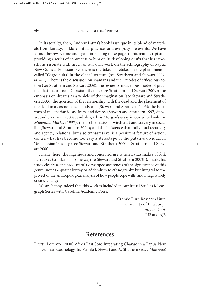In its totality, then, Andrew Lattas's book is unique in its blend of materials from fantasy, folklore, ritual practice, and everyday life events. We have found, however, time and again in reading these pages of his manuscript and providing a series of comments to him on its developing drafts that his expositions resonate with much of our own work on the ethnography of Papua New Guinea. For example, there is the take, or retake, on the phenomenon called "Cargo cults" in the older literature (see Strathern and Stewart 2002: 66–71). There is the discussion on shamans and their modes of efficacious action (see Strathern and Stewart 2008); the review of indigenous modes of practice that incorporate Christian themes (see Strathern and Stewart 2009); the emphasis on dreams as a vehicle of the imagination (see Stewart and Strathern 2003); the question of the relationship with the dead and the placement of the dead in a cosmological landscape (Stewart and Strathern 2005); the horizons of millenarian ideas, fears, and desires (Stewart and Strathern 1997, Stewart and Strathern 2000a; and also, Chris Morgan's essay in our edited volume *Millennial Markers* 1997); the problematics of witchcraft and sorcery in social life (Stewart and Strathern 2004); and the insistence that individual creativity and agency, relational but also transgressive, is a persistent feature of action, contra what has become too easy a stereotype of the putative dividual in "Melanesian" society (see Stewart and Strathern 2000b; Strathern and Stewart 2000).

Finally, here, the ingenious and concerted use which Lattas makes of folk narratives (similarly in some ways to Stewart and Strathern 2002b), marks his study clearly as the product of a developed awareness of the significance of this genre, not as a quaint byway or addendum to ethnography but integral to the project of the anthropological analysis of how people cope with, and imaginatively create, change.

We are happy indeed that this work is included in our Ritual Studies Monograph Series with Carolina Academic Press.

> Cromie Burn Research Unit, University of Pittsburgh August 2009 PJS and AJS

### **References**

Brutti, Lorenzo (2000) Afek's Last Son: Integrating Change in a Papua New Guinean Cosmology. In, Pamela J. Stewart and A. Strathern (eds). *Millennial*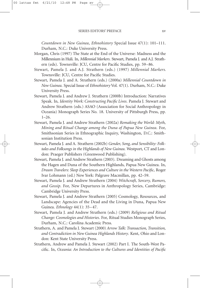*Countdown in New Guinea*, *Ethnohistory* Special Issue 47(1): 101–111. Durham, N.C.: Duke University Press.

- Morgan, Chris (1997) The State at the End of the Universe: Madness and the Millennium in Huli. In, *Millennial Markers*. Stewart, Pamela J. and A.J. Strathern (eds). Townsville: JCU, Centre for Pacific Studies, pp. 59–86.
- Stewart, Pamela J. and A.J. Strathern (eds.) (1997) *Millennial Markers.* Townsville: JCU, Centre for Pacific Studies.
- Stewart, Pamela J. and A. Strathern (eds.) (2000a) *Millennial Countdown in New Guinea*. Special Issue of *Ethnohistory* Vol. 47(1). Durham, N.C.: Duke University Press.
- Stewart, Pamela J. and Andrew J. Strathern (2000b) Introduction: Narratives Speak. In, *Identity Work: Constructing Pacific Lives*. Pamela J. Stewart and Andrew Strathern (eds.) ASAO (Association for Social Anthropology in Oceania) Monograph Series No. 18. University of Pittsburgh Press, pp. 1–26.
- Stewart, Pamela J. and Andrew Strathern (2002a) *Remaking the World: Myth, Mining and Ritual Change among the Duna of Papua New Guinea*. For, Smithsonian Series in Ethnographic Inquiry, Washington, D.C.: Smithsonian Institution Press.
- Stewart, Pamela J. and A. Strathern (2002b) *Gender, Song, and Sensibility: Folktales and Folksongs in the Highlands of New Guinea*. Westport, CT and London: Praeger Publishers (Greenwood Publishing).
- Stewart, Pamela J. and Andrew Strathern (2003). Dreaming and Ghosts among the Hagen and Duna of the Southern Highlands, Papua New Guinea. In, *Dream Travelers: Sleep Experiences and Culture in the Western Pacific*, Roger Ivar Lohmann (ed.) New York: Palgrave Macmillan, pp. 42–59.
- Stewart, Pamela J. and Andrew Strathern (2004) *Witchcraft, Sorcery, Rumors, and Gossip*. For, New Departures in Anthropology Series, Cambridge: Cambridge University Press.
- Stewart, Pamela J. and Andrew Strathern (2005) Cosmology, Resources, and Landscape: Agencies of the Dead and the Living in Duna, Papua New Guinea. *Ethnology* 44(1): 35–47.
- Stewart, Pamela J. and Andrew Strathern (eds.) (2009) *Religious and Ritual Change: Cosmologies and Histories*. For, Ritual Studies Monograph Series, Durham, N.C.: Carolina Academic Press.
- Strathern, A. and Pamela J. Stewart (2000) *Arrow Talk: Transaction, Transition, and Contradiction in New Guinea Highlands History*. Kent, Ohio and London: Kent State University Press.
- Strathern, Andrew and Pamela J. Stewart (2002) Part I. The South-West Pacific. In, *Oceania: An Introduction to the Cultures and Identities of Pacific*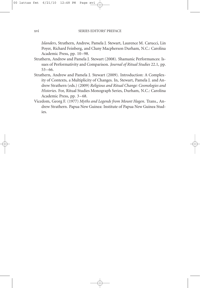*Islanders*, Strathern, Andrew, Pamela J. Stewart, Laurence M. Carucci, Lin Poyer, Richard Feinberg, and Cluny Macpherson Durham, N.C.: Carolina Academic Press, pp. 10–98.

- Strathern, Andrew and Pamela J. Stewart (2008). Shamanic Performances: Issues of Performativity and Comparison. *Journal of Ritual Studies* 22.1, pp. 53–66.
- Strathern, Andrew and Pamela J. Stewart (2009). Introduction: A Complexity of Contexts, a Multiplicity of Changes. In, Stewart, Pamela J. and Andrew Strathern (eds.) (2009) *Religious and Ritual Change: Cosmologies and Histories*. For, Ritual Studies Monograph Series, Durham, N.C.: Carolina Academic Press, pp. 3–68.
- Vicedom, Georg F. (1977) *Myths and Legends from Mount Hagen*. Trans., Andrew Strathern. Papua New Guinea: Institute of Papua New Guinea Studies.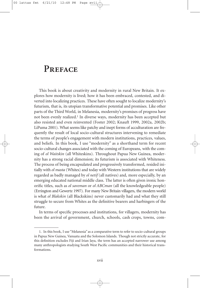## **Preface**

This book is about creativity and modernity in rural New Britain. It explores how modernity is lived; how it has been embraced, contested, and diverted into localizing practices. These have often sought to localize modernity's futurism, that is, its utopian transformative potential and promises. Like other parts of the Third World, in Melanesia, modernity's promises of progress have not been evenly realized. <sup>1</sup> In diverse ways, modernity has been accepted but also resisted and even reinvented (Foster 2002; Knauft 1999, 2002a, 2002b; LiPuma 2001). What seems like patchy and inept forms of acculturation are frequently the result of local socio-cultural structures intervening to remediate the terms of people's engagement with modern institutions, practices, values, and beliefs. In this book, I use "modernity" as a shorthand term for recent socio-cultural changes associated with the coming of Europeans, with the coming of *ol Waitskin* (all Whiteskins). Throughout Papua New Guinea, modernity has a strong racial dimension; its futurism is associated with Whiteness. The process of being encapsulated and progressively transformed, resided initially with *ol masta* (Whites) and today with Western institutions that are widely regarded as badly managed by *ol netif* (all natives) and, more especially, by an emerging educated national middle class. The latter is often given ironic honorific titles, such as *ol saveman* or *ol ABCman* (all the knowledgeable people) (Errington and Gewertz 1997). For many New Britain villagers, the modern world is what *ol Blakskin* (all Blackskins) never customarily had and what they still struggle to secure from Whites as the definitive bearers and harbingers of the future.

In terms of specific processes and institutions, for villagers, modernity has been the arrival of government, church, schools, cash crops, towns, com-

<sup>1.</sup> In this book, I use "Melanesia" as a comparative term to refer to socio-cultural groups in Papua New Guinea, Vanuatu and the Solomon Islands. Though not strictly accurate, for this definition excludes Fiji and Irian Jaya, the term has an accepted narrower use among many anthropologists studying South West Pacific communities and their historical transformations.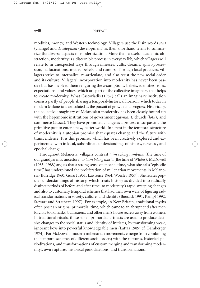### xviii PREFACE

modities, money, and Western technology. Villagers use the Pisin words *sens* (change) and *developmen* (development) as their shorthand terms to summarize the diverse aspects of modernization. More than a useful academic abstraction, modernity is a discernible process in everyday life, which villagers will relate to in unexpected ways through illnesses, cults, dreams, spirit-possession, hallucinations, myths, beliefs, and rumors. Through local practices, villagers strive to internalize, re-articulate, and also resist the new social order and its culture. Villagers' incorporation into modernity has never been passive but has involved them refiguring the assumptions, beliefs, identities, roles, expectations, and values, which are part of the collective imaginary that helps to create modernity. What Castoriadis (1987) calls an imaginary institution consists partly of people sharing a temporal-historical horizon, which today in modern Melanesia is articulated as the pursuit of growth and progress. Historically, the collective imaginary of Melanesian modernity has been closely bound up with the hegemonic institutions of government (*gavman*), church (*lotu*), and commerce (*bisnis*). They have promoted change as a process of surpassing the primitive past to enter a new, better world. Inherent in the temporal structure of modernity is a utopian promise that equates change and the future with transcendence. It is this promise, which has been creatively explored and experimented with in local, subordinate understandings of history, newness, and epochal change.

Throughout Melanesia, villagers contrast *taim bilong tumbuna* (the time of our grandparents, ancestors) to *taim bilong masta* (the time of Whites). McDowell (1985, 1988) argues that a strong sense of epochal time, what she calls "episodic time," has underpinned the proliferation of millenarian movements in Melanesia (Burridge 1960; Guiart 1951; Lawrence 1964; Worsley 1957). She relates popular understandings of history, which treats history as divided into radically distinct periods of before and after time, to modernity's rapid sweeping changes and also to customary temporal schemes that had their own ways of figuring radical transformations in society, culture, and identity (Biersack 1991; Kempf 1992; Stewart and Strathern 1997). For example, in New Britain, traditional myths often posit an original primordial time, which came to an abrupt end after men forcibly took masks, bullroarers, and other men's house secrets away from women. In traditional rituals, those stolen primordial artifacts are used to produce decisive changes to the social status and identity of initiates, by transforming weak, ignorant boys into powerful knowledgeable men (Lattas 1989; cf. Bamberger 1974). For McDowell, modern millenarian movements emerge from combining the temporal schemes of different social orders; with the ruptures, historical periodizations, and transformations of custom merging and transforming modernity's own ruptures, historical periodizations, and transformations.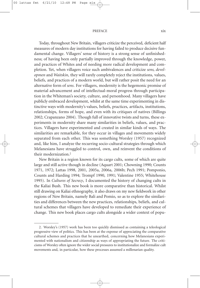### PREFACE xix

Today, throughout New Britain, villagers criticize the perceived, deficient half measures of modern day institutions for having failed to produce decisive fundamental change. Villagers' sense of history is a strong sense of unfinishedness; of having been only partially improved through the knowledge, power, and practices of Whites and of needing more radical development and completion. Yet, when villagers voice such ambivalences and criticize *sens, developmen* and *Waitskin*, they will rarely completely reject the institutions, values, beliefs, and practices of a modern world, but will rather posit the need for an alternative form of *sens*. For villagers, modernity is the hegemonic promise of material advancement and of intellectual-moral progress through participation in the Whiteman's society, culture, and personhood. Many villagers have publicly embraced development, whilst at the same time experimenting in distinctive ways with modernity's values, beliefs, practices, artifacts, institutions, relationships, forms of hope, and even with its critiques of natives (Billings 2002; Crapanzano 2004). Though full of innovative twists and turns, these experiments in modernity share many similarities in beliefs, values, and practices. Villagers have experimented and created in similar kinds of ways. The similarities are remarkable, for they occur in villages and movements widely separated from each other. This was something Worsley (1957) recognized and, like him, I analyze the recurring socio-cultural strategies through which Melanesians have struggled to control, own, and reinvent the conditions of their modernization. 2

New Britain is a region known for its cargo cults, some of which are quite large and still active though in decline (Aquart 2001; Chowning 1990; Counts 1971, 1972; Lattas 1998, 2001, 2005a, 2006a, 2006b; Pech 1991; Pomponio, Counts and Harding 1994; Trompf 1990, 1991; Valentine 1955; Whitehouse 1995). In *Cultures of Secrecy*, I documented the history of changing cults in the Kaliai Bush. This new book is more comparative than historical. Whilst still drawing on Kaliai ethnography, it also draws on my new fieldwork in other regions of New Britain, namely Bali and Pomio, so as to explore the similarities and differences between the new practices, relationships, beliefs, and cultural schemes that villagers have developed to remediate their experience of change. This new book places cargo cults alongside a wider context of popu-

<sup>2.</sup> Worsley's (1957) work has been too quickly dismissed as containing a teleological progressive view of politics. This has been at the expense of appreciating the comparative cultural schemes and practices that he unearthed, concerning how Melanesians experimented with nationalism and citizenship as ways of appropriating the future. The criticisms of Worsley often ignore the wider social pressures to institutionalize and formalize cult movements and, in particular, how these processes assumed a millenarian quality.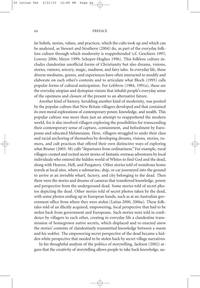### xx PREFACE

lar beliefs, stories, values, and practices, which the cults took up and which can be analyzed, as Stewart and Strathern (2004) do, as part of the everyday folklore culture through which modernity is reapprehended (cf. Geschiere 1997; Lowrey 2006; Meyer 1999; Scheper-Hughes 1996). This folklore culture includes clandestine unofficial forms of Christianity but also dreams, visions, stories, rumors, sorcery, magic, madness, and fairy tales. In everyday life, these diverse mediums, genres, and experiences have often interacted to modify and elaborate on each other's contents and to articulate what Bloch (1995) calls popular forms of cultural anticipation. For Lefebvre (1984, 1991a), these are the everyday utopian and dystopian visions that inhabit people's everyday sense of the openness and closure of the present to an alternative future.

Another kind of history, heralding another kind of modernity, was posited by the popular culture that New Britain villagers developed and that contained its own moral explorations of contemporary power, knowledge, and wealth. This popular culture was more than just an attempt to reapprehend the modern world, for it also involved villagers exploring the possibilities for transcending their contemporary sense of capture, containment, and befoolment by Europeans and educated Melanesians. Here, villagers struggled to undo their class and racial anchoring of themselves by developing dreams, visions, stories, rumors, and cult practices that offered their own distinctive ways of exploring what Bruner (2005: 58) calls "departures from ordinariness." For example, rural villagers created and recited secret stories of fantastic overseas adventures by local individuals who entered the hidden world of Whites to find God and the dead, along with Heaven, Hell, and Purgatory. Other stories told of wondrous home travels at local sites, where a submarine, ship, or car journeyed into the ground to arrive at an invisible wharf, factory, and city belonging to the dead. Then there were the stories and dreams of cameras that transferred knowledge, power and perspective from the underground dead. Some stories told of secret photos depicting the dead. Other stories told of secret photos taken by the dead, with some photos ending up in European hands, such as at an Australian government office from where they were stolen (Lattas 2000, 2006a). These folktales told of an illicitly acquired, empowering, local perspective that had to be stolen back from government and Europeans. Such stories were told in confidence by villagers to each other, creating in everyday life a clandestine transmission of homegrown native secrets, which displaced and re-enacted anew the stories' contents of clandestinely transmitted knowledge between a *masta* and his *wokboi*. The empowering secret perspective of the dead became a hidden white perspective that needed to be stolen back by secret village narratives.

In his thoughtful analysis of the politics of storytelling, Jackson (2002) argues that the creativity of storytelling allows people to take back knowledge, au-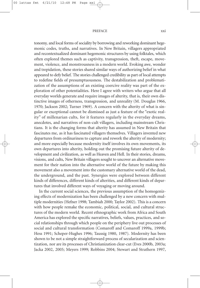### PREFACE xxi

tonomy, and local forms of sociality by borrowing and reworking dominant hegemonic codes, truths, and narratives. In New Britain, villagers appropriated and recontextualized dominant hegemonic structures by using folktales, which often explored themes such as captivity, transgression, theft, escape, movement, violence, and monstrousness in a modern world. Evoking awe, wonder and trepidation, these stories shared similar ways of authorizing belief in what appeared to defy belief. The stories challenged credibility as part of local attempts to redefine fields of presumptuousness. The destabilization and problematization of the assumptions of an existing coercive reality was part of the exploration of other potentialities. Here I agree with writers who argue that all everyday worlds generate and require images of alterity, that is, their own distinctive images of otherness, transgression, and unreality (M. Douglas 1966, 1970; Jackson 2002; Turner 1969). A concern with the alterity of what is singular or exceptional cannot be dismissed as just a feature of the "exotic reality" of millenarian cults, for it features regularly in the everyday dreams, anecdotes, and narratives of non-cult villagers, including mainstream Christians. It is the changing forms that alterity has assumed in New Britain that fascinates me, as it has fascinated villagers themselves. Villagers invented new departures from ordinariness to capture and rework the alterity of modernity; and more especially because modernity itself involves its own movements, its own departures into alterity, holding out the promising future alterity of development and civilization, as well as Heaven and Hell. In their stories, dreams, visions, and cults, New Britain villagers sought to uncover an alternative movement for their nation into the alternative world of the future by making this movement also a movement into the customary alternative world of the dead, the underground, and the past. Synergies were explored between different kinds of differences, different kinds of alterities, and different kinds of departures that involved different ways of voyaging or moving around.

In the current social sciences, the previous assumption of the homogenizing effects of modernization has been challenged by a new concern with multiple modernities (Hefner 1998; Tambiah 2000; Taylor 2002). This is a concern with how people remake the economic, political, social, and cultural structures of the modern world. Recent ethnographic work from Africa and South America has explored the specific narratives, beliefs, values, practices, and social relationships through which people on the periphery live out processes of social and cultural transformation (Comaroff and Comaroff 1999a, 1999b; Hess 1991; Scheper-Hughes 1996; Taussig 1980, 1987). Modernity has been shown to be not a simple straightforward process of secularization and scientization, nor are its processes of Christianization clear-cut (Eves 2000b, 2003a; Jacka 2002, 2005; Meyers 1999; Robbins 2004; Stewart and Strathern 1997,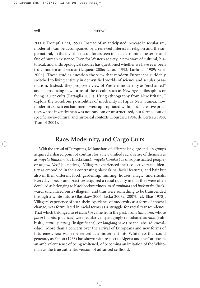### xxii PREFACE

2000a; Trompf, 1990, 1991). Instead of an anticipated increase in secularism, modernity can be accompanied by a renewed interest in religion and the supernatural, in the invisible occult forces seen to be determining the terms and fate of human existence. Even for Western society, a new wave of cultural, historical, and anthropological studies has questioned whether we have ever been truly modern and secular (Laqueur 2006; Latour 1993; Lurhman 1989; Saler 2006). These studies question the view that modern Europeans suddenly switched to living entirely in demystified worlds of science and secular pragmatism. Instead, they propose a view of Western modernity as "enchanted" and as producing new forms of the occult, such as New Age philosophies or flying saucer cults (Battaglia 2005). Using ethnography from New Britain, I explore the wondrous possibilities of modernity in Papua New Guinea; how modernity's own enchantments were appropriated within local creative practices whose inventiveness was not random or unstructured, but formed out of specific socio-cultural and historical contexts (Bourdieu 1984; de Certeau 1988; Trompf 2004).

### **Race, Modernity, and Cargo Cults**

With the arrival of Europeans, Melanesians of different language and kin groups acquired a shared point of contrast for a new unified racial sense of themselves as *mipela Blakskin* (us Blackskins), *mipela kanaka* (us unsophisticated people) or *mipela Netif* (us natives). Villagers experienced their collective racial identity as embodied in their contrasting black skins, facial features, and hair but also in their different food, gardening, hunting, houses, magic, and rituals. Everyday objects and practices acquired a racial quality in that they were often devalued as belonging to black backwardness, to *ol tumbuna* and *buskanaka* (backward, uncivilized bush villagers), and thus were something to be transcended through a white future (Bashkow 2006; Jacka 2007a, 2007b; cf. Elias 1978). Villagers' experience of *sens*, their experience of modernity as a form of epochal change, was formulated in racial terms as a struggle for racial transcendence. That which belonged to *ol Blakskin* came from the past, from *tumbuna*, whose *pasin* (habits, practices) were regularly disparagingly repudiated as *rabis* (rubbish), *samting nating* (insignificant), or *longlong save* (insane, absurd knowledge). More than a concern over the arrival of Europeans and new forms of futureness, *sens* was experienced as a movement into Whiteness that could generate, as Fanon (1968) has shown with respect to Algeria and the Caribbean, an ambivalent sense of being whitened, of becoming an imitation of the Whiteman as the true authentic version of advanced selfhood.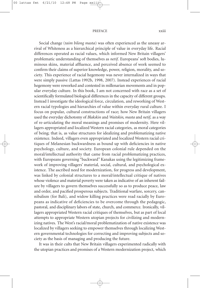#### PREFACE xxiii

Social change (*taim bilong masta*) was often experienced as the uneasy arrival of Whiteness as a hierarchical principle of value in everyday life. Racial differences operated as racial values, which informed New Britain villagers' problematic understanding of themselves as *netif*. Europeans' soft bodies, luminous skins, material affluence, and perceived absence of work seemed to confirm their claims of superior knowledge, power, religion, morality, and society. This experience of racial hegemony was never internalized in ways that were simply passive (Lattas 1992b, 1998, 2007). Instead experiences of racial hegemony were reworked and contested in millenarian movements and in popular everyday culture. In this book, I am not concerned with race as a set of scientifically formulated biological differences in the capacity of different groups. Instead I investigate the ideological force, circulation, and reworking of Western racial typologies and hierarchies of value within everyday rural culture. I focus on popular, cultural constructions of race; how New Britain villagers used the everyday dichotomy of *Blakskin* and *Waitskin, masta* and *netif*, as a way of re-articulating the moral meanings and promises of modernity. Here villagers appropriated and localized Western racial categories, as moral categories of being; that is, as value structures for idealizing and problematizing native existence. Indeed, villagers even appropriated and localized Western racial critiques of Melanesian backwardness as bound up with deficiencies in native psychology, culture, and society. European colonial rule depended on the moral/intellectual authority that came from racial problematizing practices, with Europeans governing "backward" Kanakas using the legitimizing framework of improving villagers' material, social, cultural, and psychological existence. The ascribed need for modernization, for progress and development, was linked by colonial structures to a moral/intellectual critique of natives whose violence and material poverty were taken as indicative of an inherent failure by villagers to govern themselves successfully so as to produce peace, law and order, and pacified prosperous subjects. Traditional warfare, sorcery, cannibalism (for Bali), and widow killing practices were read racially by Europeans as indicative of deficiencies to be overcome through the pedagogic, pastoral, and disciplinary labors of state, church, and commerce. Ironically, villagers appropriated Western racial critiques of themselves, but as part of local attempts to appropriate Western utopian projects for civilizing and modernizing natives. The West's racial/moral problematization of native existence was localized by villagers seeking to empower themselves through localizing Western governmental technologies for correcting and improving subjects and society as the basis of managing and producing the future.

It was in their cults that New Britain villagers experimented radically with the utopian practices and promises of a Western modernization project, which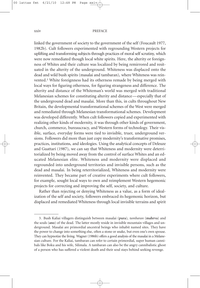### xxiv PREFACE

linked the government of society to the government of the self (Foucault 1977, 1982b). Cult followers experimented with regrounding Western projects for uplifting and transforming subjects through practices of moral self scrutiny, which were now remediated though local white spirits. Here, the alterity or foreignness of Whites and their culture was localized by being remirrored and resituated in the alterity of the underground. Whiteness was displaced onto the dead and wild bush spirits (masalai and tambaran), where Whiteness was reinvented.3 White foreignness had its otherness remade by being merged with local ways for figuring otherness, for figuring strangeness and difference. The alterity and distance of the Whiteman's world was merged with traditional Melanesian schemes for constituting alterity and distance—especially that of the underground dead and masalai. More than this, in cults throughout New Britain, the developmental transformational schemes of the West were merged and remediated through Melanesian transformational schemes. Development was developed differently. When cult followers copied and experimented with realizing other kinds of modernity, it was through other kinds of government, church, commerce, bureaucracy, and Western forms of technology. Their visible, surface, everyday forms were tied to invisible, truer, underground versions. Followers did more than just copy modernity's transformative promises, practices, institutions, and ideologies. Using the analytical concepts of Deleuze and Guattari (1987), we can say that Whiteness and modernity were deterritorialized by being moved away from the control of surface Whites and an educated Melanesian elite. Whiteness and modernity were displaced and regrounded into underground territories and invisible persons, such as the dead and masalai. In being reterritorialized, Whiteness and modernity were reinvented. They became part of creative experiments where cult followers, for example, sought local ways to own and reimplement Western hegemonic projects for correcting and improving the self, society, and culture.

Rather than rejecting or denying Whiteness as a value, as a form of idealization of the self and society, followers embraced its hegemonic horizon, but displaced and remediated Whiteness through local invisible terrains and spirit

<sup>3.</sup> Bush Kaliai villagers distinguish between masalai (**pura**), *tambaran* (**mahrva**) and the souls (**ano**) of the dead. The latter mostly reside in invisible mountain villages and underground. Masalai are primordial ancestral beings who inhabit named sites. They have the power to change into something else, often a stone or snake, but even one's own spouse. They can hypnotize the living. Wagner (1986b) offers a good analysis of the masalai in a Melanesian culture. For the Kaliai, tambaran can refer to certain primordial, super human cannibals like Boku and his wife, Silimala. A tambaran can also be the angry cannibalistic ghost of a person who has suffered a violent death and their soul stays behind seeking revenge.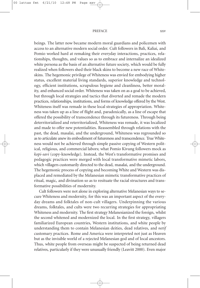### PREFACE xxv

beings. The latter now became modern moral guardians and policemen with access to an alternative modern social order. Cult followers in Bali, Kaliai, and Pomio worked hard at remaking their everyday interactions, practices, relationships, thoughts, and values so as to embrace and internalize an idealized white persona as the basis of an alternative future society, which would be fully realized when followers shed their black skins to become a new race of Whiteskins. The hegemonic privilege of Whiteness was envied for embodying higher status, excellent material living standards, superior knowledge and technology, efficient institutions, scrupulous hygiene and cleanliness, better morality, and enhanced social order. Whiteness was taken on as a goal to be achieved, but through local strategies and tactics that diverted and remade the modern practices, relationships, institutions, and forms of knowledge offered by the West. Whiteness itself was remade in these local strategies of appropriation. Whiteness was taken up as a line of flight and, paradoxically, as a line of escape that offered the possibility of transcendence through its futureness. Through being deterritorialized and reterritorialized, Whiteness was remade, it was localized and made to offer new potentialities. Reassembled through relations with the past, the dead, masalai, and the underground, Whiteness was regrounded so as to articulate anew its embodiment of futureness and transcendence. True Whiteness would not be achieved through simple passive copying of Western political, religious, and commercial labors; what Pomio Kivung followers mock as *kopi-savi* (copy-knowledge). Instead, the West's transformative promises and pedagogic practices were merged with local transformative mimetic labors, which villagers customarily directed to the dead, masalai, and the underground. The hegemonic process of copying and becoming White and Western was displaced and remediated by the Melanesian mimetic transformative practices of ritual, magic, and divination so as to resituate the racial structures and transformative possibilities of modernity.

Cult followers were not alone in exploring alternative Melanesian ways to secure Whiteness and modernity, for this was an important aspect of the everyday dreams and folktales of non-cult villagers. Underpinning the various dreams, folktales, and cults were two recurring strategies for appropriating Whiteness and modernity. The first strategy Melanesianized the foreign, whilst the second whitened and modernized the local. In the first strategy, villagers familiarized European countries, Western institutions, and white people by understanding them to contain Melanesian deities, dead relatives, and *netif* customary practices. Rome and America were interpreted not just as Heaven but as the invisible world of a rejected Melanesian god and of local ancestors. Thus, white people from overseas might be suspected of being returned dead relatives, particularly if they were unusually friendly (Leavitt 2000). Even major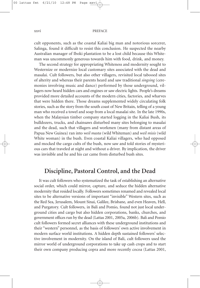### xxvi PREFACE

cult opponents, such as the coastal Kaliai big man and notorious sorcerer, Salinga, found it difficult to resist this conclusion. He suspected the nearby Australian manager of Iboki plantation to be a lost child because this Whiteman was uncommonly generous towards him with food, drink, and money.

The second strategy for appropriating Whiteness and modernity sought to Westernize or modernize local customary sites associated with the dead and masalai. Cult followers, but also other villagers, revisited local tabooed sites of alterity and whereas their parents heard and saw traditional *singsing* (ceremonies involving music and dance) performed by those underground, villagers now heard hidden cars and engines or saw electric lights. People's dreams provided more detailed accounts of the modern cities, factories, and wharves that were hidden there. Those dreams supplemented widely circulating folk stories, such as the story from the south coast of New Britain, telling of a young man who received a towel and soap from a local masalai site. In the late 1990s, when the Malaysian timber company started logging in the Kaliai Bush, its bulldozers, trucks, and chainsaws disturbed many sites belonging to masalai and the dead, such that villagers and workmen (many from distant areas of Papua New Guinea) ran into *weil masta* (wild Whiteman) and *weil misis* (wild White woman) in the bush. Even coastal Kaliai villagers, who had opposed and mocked the cargo cults of the bush, now saw and told stories of mysterious cars that traveled at night and without a driver. By implication, the driver was invisible and he and his car came from disturbed bush sites.

### **Discipline, Pastoral Control, and the Dead**

It was cult followers who systematized the task of establishing an alternative social order, which could mirror, capture, and seduce the hidden alternative modernity that resided locally. Followers sometimes renamed and revealed local sites to be alternative versions of important "invisible" Western sites, such as the Red Sea, Jerusalem, Mount Sinai, Galilee, Brisbane, and even Heaven, Hell, and Purgatory. Cult followers, in Bali and Pomio, found not just local underground cities and cargo but also hidden corporations, banks, churches, and government offices run by the dead (Lattas 2001, 2005a, 2006b). Bali and Pomio cult followers formed secret alliances with these underground institutions and their "western" personnel, as the basis of followers' own active involvement in modern surface world institutions. A hidden depth sustained followers' selective involvement in modernity. On the island of Bali, cult followers used the mirror world of underground corporations to take up cash crops and to start their own company producing copra and more recently cocoa (Lattas 2001,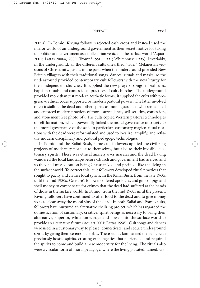#### PREFACE xxvii

2005a). In Pomio, Kivung followers rejected cash crops and instead used the mirror world of an underground government as their secret motive for taking up politics and government as a millenarian vehicle in the surface world (Aquart 2001; Lattas 2006a, 2009; Trompf 1990, 1991; Whitehouse 1995). Invariably, in the underground, all the different cults unearthed "truer" Melanesian versions of Christianity. Just as in the past, when the underground provided New Britain villagers with their traditional songs, dances, rituals and masks, so the underground provided contemporary cult followers with the new liturgy for their independent churches. It supplied the new prayers, songs, moral rules, baptism rituals, and confessional practices of cult churches. The underground provided more than just modern aesthetic forms, it supplied the cults with progressive ethical codes supported by modern pastoral powers. The latter involved often installing the dead and other spirits as moral guardians who remediated and enforced modern practices of moral surveillance, self-scrutiny, confession, and atonement (see photo 14). The cults copied Western pastoral technologies of self-formation, which powerfully linked the moral governance of society to the moral governance of the self. In particular, customary magico-ritual relations with the dead were reformulated and used to localize, amplify, and refigure modern disciplinary and pastoral pedagogic technologies.

In Pomio and the Kaliai Bush, some cult followers applied the civilizing projects of modernity not just to themselves, but also to their invisible customary spirits. There was ethical anxiety over masalai and the dead having wandered the local landscape before Church and government had arrived and so they had missed out on being Christianized and pacified, like the living in the surface world. To correct this, cult followers developed ritual practices that sought to pacify and civilize local spirits. In the Kaliai Bush, from the late 1960s until the mid 1980s, Censure's followers offered apologies and gifts of pigs and shell money to compensate for crimes that the dead had suffered at the hands of those in the surface world. In Pomio, from the mid 1960s until the present, Kivung followers have continued to offer food to the dead and to give money so as to clean away the moral sins of the dead. In both Kaliai and Pomio cults, followers have nurtured an alternative civilizing project, which has regarded the domestication of customary, creative, spirit beings as necessary to bring their alternative, superior, white knowledge and power into the surface world to provide an alternative future (Aquart 2001; Lattas 1998). Cult songs and dances were used in a customary way to please, domesticate, and seduce underground spirits by giving them ceremonial debts. These rituals familiarized the living with previously hostile spirits, creating exchange ties that befriended and required the spirits to come and build a new modernity for the living. The rituals also were a circular form of moral pedagogy, where the living placated, tamed, civ-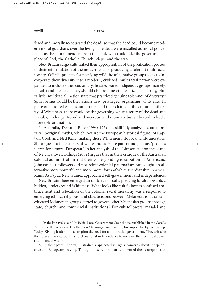### xxviii PREFACE

ilized and morally re-educated the dead, so that the dead could become modern moral guardians over the living. The dead were installed as moral policemen, as the moral menders from the land, who could take the governmental place of God, the Catholic Church, kiaps, and the state.

New Britain cargo cults linked their appropriation of the pacification process to their reformulation of the modern goal of producing a tolerant multiracial society. Official projects for pacifying wild, hostile, native groups so as to incorporate their diversity into a modern, civilized, multiracial nation were expanded to include other customary, hostile, feared indigenous groups, namely, masalai and the dead. They should also become visible citizens in a truly, pluralistic, multiracial, nation state that practiced genuine tolerance of diversity. 4 Spirit beings would be the nation's new, privileged, organizing, white elite. In place of educated Melanesian groups and their claims to the cultural authority of Whiteness, there would be the governing white alterity of the dead and masalai, no longer feared as dangerous wild monsters but embraced to lead a more tolerant nation.

In Australia, Deborah Rose (1994: 175) has skillfully analyzed contemporary Aboriginal myths, which localize the European historical figures of Captain Cook and Ned Kelly, making these Whitemen into local white ancestors. She argues that the stories of white ancestors are part of indigenous "people's search for a moral European." In her analysis of the Johnson cult on the island of New Hanover, Billings (2002) argues that in their critique of the Australian colonial administration and their corresponding idealization of Americans, Johnson cult followers did not reject colonial paternalism but sought an alternative more powerful and more moral form of white guardianship in Americans. As Papua New Guinea approached self-government and independence, in New Britain there emerged an outbreak of cults pledging loyalty towards a hidden, underground Whiteness. What looks like cult followers confused embracement and relocation of the colonial racial hierarchy was a response to emerging ethnic, religious, and class tensions between Melanesians, as certain educated Melanesian groups started to govern other Melanesian groups through state, church, and commercial institutions.5 For cult followers, masalai and

<sup>4.</sup> In the late 1960s, a Multi Racial Local Government Council was established in the Gazelle Peninsula. It was opposed by the Tolai Mataungan Association, but supported by the Kivung. Today, Kivung leaders still champion the need for a multiracial government. They criticize the Tolai as having sought a quick national independence to increase their political power and financial wealth.

<sup>5.</sup> In their patrol reports, Australian kiaps noted villagers' concerns about Independence and Europeans leaving. Though those reports partly mirrored the assumptions of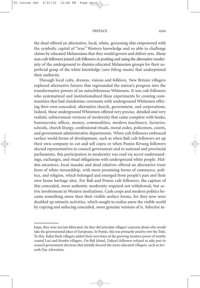#### PREFACE xxix

the dead offered an alternative, local, white, governing elite empowered with the symbolic capital of "true" Western knowledge and so able to challenge claims by educated Melanesians that they would govern and deliver *sens*. Many non-cult followers joined cult followers in positing and using the alternative modernity of the underground to dismiss educated Melanesian groups for their superficial grasp of the white knowledge (*save bilong masta*) that underpinned their authority.

Through local cults, dreams, visions and folklore, New Britain villagers explored alternative futures that regrounded the nation's progress into the transformative powers of an autochthonous Whiteness. It was cult followers who systematized and institutionalized these experiments by creating communities that had clandestine covenants with underground Whitemen offering their own concealed, alternative church, government, and corporations. Indeed, these underground Whitemen offered very precise, detailed and very realistic subterranean versions of modernity that came complete with banks, bureaucratic offices, money, commodities, modern machinery, factories, schools, church liturgy, confessional rituals, moral codes, policemen, courts, and government administrative departments. When cult followers embraced surface world forms of development, such as when Bali cult followers set up their own company to cut and sell copra or when Pomio Kivung followers elected representatives to council government and to national and provincial parliaments, this participation in modernity was read via secret understandings, exchanges, and ritual obligations with underground white people. Hidden ancestors, local masalai and dead relatives offered an alternative truer form of white stewardship, with more promising forms of commerce, politics, and religion, which belonged and emerged from people's past and their own home heritage sites. For Bali and Pomio cult followers, the capture of this concealed, more authentic modernity required not withdrawal, but active involvement in Western institutions. Cash crops and modern politics became something more than their visible surface forms, for they now were doubled up mimetic activities, which sought to realize anew the visible world by copying and seducing concealed, more genuine versions of it. Selective in-

kiaps, they were not just fabricated, for they did articulate villagers' concerns about who would take the governmental place of Europeans. In Pomio, this was primarily anxiety over the Tolai. To this, Kaliai Bush villagers added their own fears of the growing modern power of nearby coastal Lusi and Kombe villagers. On Bali Island, Dakoa's followers refused to take part in council government elections that initially favored the more educated villagers, such as Seventh Day Adventists.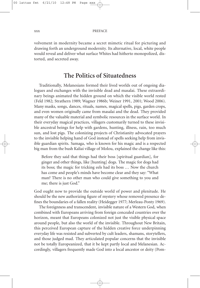volvement in modernity became a secret mimetic ritual for picturing and drawing forth an underground modernity. Its alternative, local, white people would reveal and deliver what surface Whites had hitherto monopolized, distorted, and secreted away.

### **The Politics of Situatedness**

Traditionally, Melanesians formed their lived worlds out of ongoing dialogues and exchanges with the invisible dead and masalai. These extraordinary beings animated the hidden ground on which the visible world rested (Feld 1982; Strathern 1989; Wagner 1986b; Weiner 1991, 2001; Wood 2006). Many masks, songs, dances, rituals, names, magical spells, pigs, garden crops, and even women originally came from masalai and the dead. They provided many of the valuable material and symbolic resources in the surface world. In their everyday magical practices, villagers customarily turned to these invisible ancestral beings for help with gardens, hunting, illness, rain, too much sun, and lost pigs. The colonizing projects of Christianity advocated prayers to the invisible helping hand of God instead of spells seeking help from invisible guardian spirits. Samaga, who is known for his magic and is a respected big man from the bush Kaliai village of Molou, explained the change like this:

Before they said that things had their boss [spiritual guardian], for ginger and other things, like [hunting] dogs. The magic for dogs had its boss; the magic for tricking eels had its boss ... Now the church has come and people's minds have become clear and they say: "What man? There is no other man who could give something to you and me; there is just God."

God ought now to provide the outside world of power and plenitude. He should be the new authorizing figure of mystery whose removed presence defines the boundaries of a fallen reality (Heidegger 1977; Merleau-Ponty 1969).

The foreignness and transcendent, invisible nature of a Western God, when combined with Europeans arriving from foreign concealed countries over the horizon, meant that Europeans colonized not just the visible physical space around people, but also the world of the invisible. Throughout New Britain, this perceived European capture of the hidden creative force underpinning everyday life was resisted and subverted by cult leaders, shamans, storytellers, and those judged mad. They articulated popular concerns that the invisible not be totally Europeanized, that it be kept partly local and Melanesian. Accordingly, villagers frequently made God into a local ancestor or deity (Pom-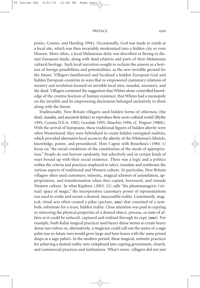#### PREFACE xxxi

ponio, Counts, and Harding 1994). Occasionally, God was made to reside at a local site, which was then invariably modernized into a hidden city or even Heaven. More often, a local Melanesian deity was described as fleeing to distant European lands, along with dead relatives and parts of their Melanesian cultural heritage. Such local narratives sought to reclaim the unseen as a horizon of foreign possibilities and potentialities, as the new invisible ground for the future. Villagers familiarized and localized a hidden European God and hidden European countries in ways that re-empowered customary relations of mystery and revelation focused on invisible local sites, masalai, ancestors, and the dead. Villagers contested the suggestion that Whites alone controlled knowledge of the creative horizon of human existence; that Whites had a monopoly on the invisible and its empowering disclosures belonged exclusively to them along with the future.

Traditionally, New Britain villagers used hidden forms of otherness (the dead, masalai, and ancestral deities) to reproduce their socio-cultural world (Blythe 1995; Counts D.E.A. 1982; Goodale 1995; Maschio 1994; cf. Wagner 1986b). With the arrival of Europeans, these traditional figures of hidden alterity were often Westernized; they were hybridized to create hidden variegated realities, which provided alternative local access to the alterity of the Whiteman's lifestyle, knowledge, power, and personhood. Here I agree with Bourdieu's (1984: 1) focus on "the social conditions of the constitution of the mode of appropriation." People do not borrow randomly, but selectively and in certain kinds of ways bound up with their social existence. There was a logic and a politics within the criteria and practices employed to select, translate and synthesize the various aspects of traditional and Western culture. In particular, New Britain villagers often used customary, mimetic, magical schemes of assimilation, appropriation, and transformation when they copied, borrowed, and remade Western culture. In what Kapferer (2003: 23) calls "the phantasmagoric (virtual) space of magic," the incorporative customary power of representations was used to evoke and secure a desired, inaccessible reality. Customarily, magical, ritual acts often created a *piksa* (picture, **ano**) that consisted of a symbolic substitute for a truer, hidden reality. Close attention was paid to copying or mirroring the physical properties of a desired object, process, or state of affairs so it could be seduced, captured and realized through its copy (**ano**). For example, bush Kaliai magical practices used heavy dense stones to create heavy dense taro tubers or, alternatively, a magician could call out the name of a sago palm tree so future taro would grow large and have leaves with the same prized shape as a sago palm's. In the modern period, these magical, mimetic practices for achieving a desired reality were redeployed into copying government, church, and commercial practices and institutions. What's more, villagers did not just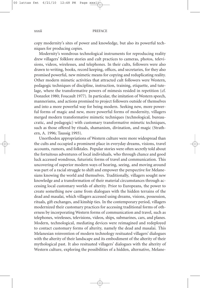copy modernity's sites of power and knowledge, but also its powerful techniques for producing copies.

Modernity's wondrous technological instruments for reproducing reality drew villagers' folklore stories and cult practices to cameras, photos, televisions, videos, wirelesses, and telephones. In their cults, followers were also drawn to writing, books, record keeping, offices, and secretaries, for they also promised powerful, new mimetic means for copying and reduplicating reality. Other modern mimetic activities that attracted cult followers were Western, pedagogic techniques of discipline, instruction, training, etiquette, and tutelage, where the transformative powers of mimesis resided in repetition (cf. Donzelot 1980; Foucault 1977). In particular, the imitation of Western speech, mannerisms, and actions promised to project followers outside of themselves and into a more powerful way for being modern. Seeking new, more powerful forms of magic and new, more powerful forms of modernity, villagers merged modern transformative mimetic techniques (technological, bureaucratic, and pedagogic) with customary transformative mimetic techniques, such as those offered by rituals, shamanism, divination, and magic (Strathern, A. 1996; Taussig 1993).

Unorthodox appropriations of Western culture were more widespread than the cults and occupied a prominent place in everyday dreams, visions, travel accounts, rumors, and folktales. Popular stories were often secretly told about the fortuitous adventures of local individuals, who through chance and good luck accessed wondrous, futuristic forms of travel and communication. This uncovering of superior modern ways of hearing, seeing, and moving around was part of a racial struggle to shift and empower the perspective for Melanesians knowing the world and themselves. Traditionally, villagers sought new knowledge and a transformation of their material circumstances through accessing local customary worlds of alterity. Prior to Europeans, the power to create something new came from dialogues with the hidden terrains of the dead and masalai, which villagers accessed using dreams, visions, possession, rituals, gift exchanges, and kinship ties. In the contemporary period, villagers modernized their customary practices for accessing traditional forms of otherness by incorporating Western forms of communication and travel, such as telephones, wirelesses, televisions, videos, ships, submarines, cars, and planes. Modern, technological, mediating devices were reimagined and redeployed to contact customary forms of alterity, namely the dead and masalai. This Melanesian reinvention of modern technology resituated villagers' dialogues with the alterity of their landscape and its embodiment of the alterity of their mythological past. It also resituated villagers' dialogues with the alterity of Western culture, exploring the possibilities of a hidden, alternative, Melane-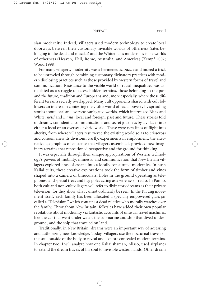#### PREFACE xxxiii

sian modernity. Indeed, villagers used modern technology to create local doorways between their customary invisible worlds of otherness (sites belonging to the dead and masalai) and the Whiteman's modern invisible worlds of otherness (Heaven, Hell, Rome, Australia, and America) (Kempf 2002; Wood 1998).

For many villagers, modernity was a hermeneutic puzzle and indeed a trick to be unraveled through combining customary divinatory practices with modern disclosing practices such as those provided by western forms of travel and communication. Resistance to the visible world of racial inequalities was articulated as a struggle to access hidden terrains, those belonging to the past and the future, tradition and Europeans and, more especially, where those different terrains secretly overlapped. Many cult opponents shared with cult followers an interest in contesting the visible world of racial poverty by spreading stories about local and overseas variegated worlds, which intermixed Black and White, *netif* and *masta*, local and foreign, past and future. These stories told of dreams, confidential communications and secret journeys by a villager into either a local or an overseas hybrid world. These were new lines of flight into alterity, from where villagers resurveyed the existing world so as to crisscross and conjoin anew its divisions. Partly, experiments in emplotment, the alternative geographies of existence that villagers assembled, provided new imaginary terrains that repositioned perspective and the ground for thinking.

It was especially through their unique appropriations of Western technology's powers of mobility, mimesis, and communication that New Britain villagers explored lines of escape into a locally constituted modernity. In bush Kaliai cults, these creative explorations took the form of timber and vines shaped into a camera or binoculars; holes in the ground operating as telephones; and special trees and flag poles acting as a wireless or radio. In Pomio, both cult and non-cult villagers will refer to divinatory dreams as their private television, for they show what cannot ordinarily be seen. In the Kivung movement itself, each family has been allocated a specially empowered glass jar called a "Television,"which contains a dead relative who morally watches over the family. Throughout New Britain, folktales have added their own popular revelations about modernity via fantastic accounts of unusual travel machines, like the car that went under water, the submarine and ship that dived underground, and the ship that traveled on land.

Traditionally, in New Britain, dreams were an important way of accessing and authorizing new knowledge. Today, villagers use the nocturnal travels of the soul outside of the body to reveal and explore concealed modern terrains. In chapter two, I will analyze how one Kaliai shaman, Aliaso, used airplanes to extend the dream travels of his soul to invisible western lands. Other dream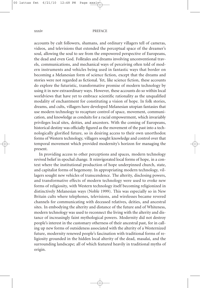### xxxiv PREFACE

accounts by cult followers, shamans, and ordinary villagers tell of cameras, videos, and televisions that extended the perceptual space of the dreamer's soul, allowing the soul to see from the empowered perspective of Europeans, the dead and even God. Folktales and dreams involving unconventional travels, communications, and mechanical ways of perceiving often told of modern instruments and vehicles being used in fantastic ways that border on becoming a Melanesian form of science fiction, except that the dreams and stories were not regarded as fictional. Yet, like science fiction, these accounts do explore the futuristic, transformative promise of modern technology by using it in new extraordinary ways. However, these accounts do so within local worldviews that have yet to embrace scientific rationality as the unqualified modality of enchantment for constituting a vision of hope. In folk stories, dreams, and cults, villagers have developed Melanesian utopian fantasies that use modern technology to recapture control of space, movement, communication, and knowledge as conduits for a racial empowerment, which invariably privileges local sites, deities, and ancestors. With the coming of Europeans, historical destiny was officially figured as the movement of the past into a technologically glorified future, so in desiring access to their own unorthodox forms of Western technology, villagers sought knowledge and control over that temporal movement which provided modernity's horizon for managing the present.

In providing access to other perceptions and spaces, modern technology revived belief in epochal change. It reinvigorated local forms of hope, in a context where the institutional production of hope underpinned church, state, and capitalist forms of hegemony. In appropriating modern technology, villagers sought new vehicles of transcendence. The alterity, disclosing powers, and transformative effects of modern technology were used to evoke new forms of religiosity, with Western technology itself becoming religionized in distinctively Melanesian ways (Noble 1999). This was especially so in New Britain cults where telephones, televisions, and wirelesses became revered channels for communicating with deceased relatives, deities, and ancestral sites. In embodying the alterity and distance of the future and of Whiteness, modern technology was used to reconnect the living with the alterity and distance of increasingly faint mythological powers. Modernity did not destroy people's interest in the customary otherness of their ancestral past, for in calling up new forms of outsideness associated with the alterity of a Westernized future, modernity renewed people's fascination with traditional forms of religiosity grounded in the hidden local alterity of the dead, masalai, and the surrounding landscape; all of which featured heavily in traditional myths of origin.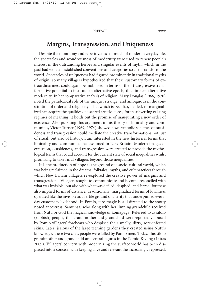### **Margins, Transgression, and Uniqueness**

Despite the monotony and repetitiveness of much of modern everyday life, the spectacles and wondrousness of modernity were used to renew people's interest in the outstanding heroes and singular events of myth, which in the past had violated established conventions and categories so as to transform the world. Spectacles of uniqueness had figured prominently in traditional myths of origin, so many villagers hypothesized that these customary forms of extraordinariness could again be mobilized in terms of their transgressive transformative potential to institute an alternative epoch; this time an alternative modernity. In her comparative analysis of religion, Mary Douglas (1966, 1970) noted the paradoxical role of the unique, strange, and ambiguous in the constitution of order and religiosity. That which is peculiar, defiled, or marginalized can acquire the qualities of a sacred creative force, for in subverting existing regimes of meaning, it holds out the promise of inaugurating a new order of existence. Also pursuing this argument in his theory of liminality and communitas, Victor Turner (1969, 1974) showed how symbolic schemes of outsideness and transgression could mediate the creative transformations not just of ritual, but also of history. I am interested in the new historical forms that liminality and communitas has assumed in New Britain. Modern images of exclusion, outsideness, and transgression were created to provide the mythological terms that could account for the current state of social inequalities whilst promising to take rural villagers beyond those inequalities.

It is the production of hope as the ground of a socio-cultural world, which was being reclaimed in the dreams, folktales, myths, and cult practices through which New Britain villagers re-explored the creative power of margins and transgressions. Villagers sought to communicate and become reconciled with what was invisible, but also with what was defiled, despised, and feared, for these also implied forms of distance. Traditionally, marginalized forms of lowliness operated like the invisible as a fertile ground of alterity that underpinned everyday customary livelihood. In Pomio, taro magic is still directed to the snotty nosed ancestress, Samunsa, who along with her limping grandchild received from Nutu or God the magical knowledge of **koinapaga**. Referred to as **silolo** (rubbish) people, this grandmother and grandchild were reportedly abused by Pomio villagers' forebears who despised their smelly, dirty, sore-infested skins. Later, jealous of the large teeming gardens they created using Nutu's knowledge, these two *rabis* people were killed by Pomio men. Today, this **silolo** grandmother and grandchild are central figures in the Pomio Kivung (Lattas 2009). Villagers' concern with modernizing the surface world has been displaced into a concern with keeping alive and relevant the increasingly repressed,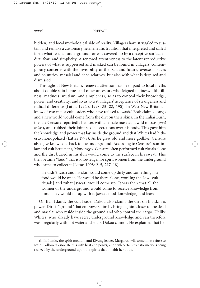### xxxvi PREFACE

hidden, and local mythological side of reality. Villagers have struggled to sustain and remake a customary hermeneutic tradition that interpreted and called forth what resided underground, or was covered up by a deceptive surface of dirt, fear, and simplicity. A renewed attentiveness to the latent reproductive powers of what is suppressed and masked can be found in villagers' contemporary concerns with the invisibility of the past and future, overseas places and countries, masalai and dead relatives, but also with what is despised and dismissed.

Throughout New Britain, renewed attention has been paid to local myths about double skin heroes and other ancestors who feigned ugliness, filth, illness, madness, mutism, and simpleness, so as to conceal their knowledge, power, and creativity, and so as to test villagers' acceptance of strangeness and radical difference (Lattas 1992b, 1998: 85–88, 190). In West New Britain, I know of two major cult leaders who have refused to wash. <sup>6</sup> Both claimed cargo and a new world would come from the dirt on their skins. In the Kaliai Bush, the late Censure reportedly had sex with a female masalai, a wild missus (*weil misis*), and rubbed their joint sexual secretions over his body. This gave him the knowledge and power that lay inside the ground and that Whites had hitherto monopolized (Lattas 1998). As he grew old and more godlike, Censure also gave knowledge back to the underground. According to Censure's son-inlaw and cult lieutenant, Monongyo, Censure often performed cult rituals alone and the dirt buried in his skin would come to the surface in his sweat. This then became "food," that is knowledge, for spirit women from the underground who came to collect it (Lattas 1998: 215, 217–18).

He didn't wash and his skin would come up dirty and something like food would be on it. He would be there alone, working the Law [cult rituals] and tuhat [sweat] would come up. It was then that all the women of the underground would come to receive knowledge from him. They would fill up with it [sweat-food-knowledge] and leave.

On Bali Island, the cult leader Dakoa also claims the dirt on his skin is power. Dirt is "ground" that empowers him by bringing him closer to the dead and masalai who reside inside the ground and who control the cargo. Unlike Whites, who already have secret underground knowledge and can therefore wash regularly with hot water and soap, Dakoa cannot. He explained that be-

<sup>6.</sup> In Pomio, the spirit medium and Kivung leader, Margaret, will sometimes refuse to wash. Followers associate this with heat and power, and with certain transformations being realized by the underground upon the spirits that inhabit her body.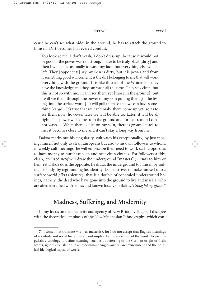### PREFACE xxxvii

cause he can't see what hides in the ground, he has to attach the ground to himself. Dirt becomes his revered conduit.

You look at me, I don't wash, I don't dress up, because it would not be good if the power was not strong. I have to be truly black [dirty] and then I will go occasionally to wash my face, but everything else will be left. They [opponents] say my skin is dirty, but it is power and from it something good will come. It is the dirt belonging to me that will work everything with the ground. It is like this: all of the Whitemen, they have the knowledge and they can wash all the time. They stay clean, but this is not so with me. I can't see them yet [those in the ground], but I will see them through the power of my skin pulling them [to the living, into the surface world]. It will pull them so that we can have something [cargo]. It's true that we can't make them come up yet, so as to see them now, however, later we will be able to. Later, it will be all right. The power will come from the ground and for that reason I cannot wash ... When there is dirt on my skin, there is ground stuck to me; it becomes close to me and it can't stay a long way from me.

Dakoa marks out his singularity, cultivates his exceptionality, by juxtaposing himself not only to clean Europeans but also to his own followers to whom, in weekly cult meetings, he will emphasize their need to work cash crops so as to have money to purchase soap and neat clean clothes. For followers a tidy, clean, civilized *netif* will draw the underground "masters" (*masta*) to him or her. <sup>7</sup> Yet Dakoa does the opposite, he draws the underground to himself by soiling his body, by regrounding his identity. Dakoa strives to make himself into a surface world *piksa* (picture), that is a double of concealed underground beings, namely, the dead who have gone into the ground to live and masalai who are often identified with stones and known locally on Bali as "*strong bilong graun*."

### **Madness, Suffering, and Modernity**

In my focus on the creativity and agency of New Britain villagers, I disagree with the theoretical emphasis of the New Melanesian Ethnography, which con-

<sup>7.</sup> I sometimes translate *masta* as master(s), for I do not accept that English meanings of servitude and social hierarchy are not implied by the social use of the word. To use linguistic etymology to define meaning, such as by referring to the German origin of Pisin words, ignores translation in a predominant Anglo-Australian environment and the political ideological aspect of words.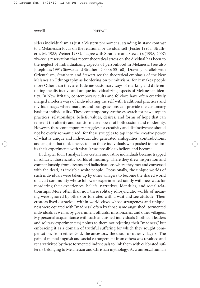### xxxviii PREFACE

siders individualism as just a Western phenomena, standing in stark contrast to a Melanesian focus on the relational or dividual self (Foster 1995a; Strathern, M. 1988; Weiner 1988). I agree with Strathern and Stewart's (1998, 2007: xiv–xvii) reservation that recent theoretical stress on the dividual has been to the neglect of individualizing aspects of personhood in Melanesia (see also Josephides 1991; Stewart and Strathern 2000b: 55–68). Drawing parallels with Orientalism, Strathern and Stewart see the theoretical emphasis of the New Melanesian Ethnography as bordering on primitivism, for it makes people more Other than they are. It denies customary ways of marking and differentiating the distinctive and unique individualizing aspects of Melanesian identity. In New Britain, contemporary cults and folklore have often creatively merged modern ways of individuating the self with traditional practices and mythic images where margins and transgressions can provide the customary basis for individuality. These contemporary syntheses search for new utopian practices, relationships, beliefs, values, desires, and forms of hope that can reinvent the alterity and transformative power of both custom and modernity. However, these contemporary struggles for creativity and distinctiveness should not be overly romanticized, for these struggles to tap into the creative power of what is unique and individual also generated ambiguities, contradictions, and anguish that took a heavy toll on those individuals who pushed to the limits their experiments with what it was possible to believe and become.

In chapter four, I analyze how certain innovative individuals became trapped in solitary, idiosyncratic worlds of meaning. There they drew inspiration and companionship from dreams and hallucinations where they met and conversed with the dead, as invisible white people. Occasionally, the unique worlds of such individuals were taken up by other villagers to become the shared world of a cult community whose followers experimented jointly with new ways for reordering their experiences, beliefs, narratives, identities, and social relationships. More often than not, these solitary idiosyncratic worlds of meaning were ignored by others or tolerated with a wait and see attitude. Their creators lived ostracized within world views whose strangeness and uniqueness were equated with "madness" often by those same anguished, tormented individuals as well as by government officials, missionaries, and other villagers. My personal acquaintance with such anguished individuals (both cult leaders and solitary experimenters) points to them not rejecting their "madness," but embracing it as a domain of truthful suffering for which they sought compensation, from either God, the ancestors, the dead, or other villagers. The pain of mental anguish and social estrangement from others was revalued and renarrativized by these tormented individuals to link them with celebrated sufferers belonging to Melanesian and Christian mythology. As a universal human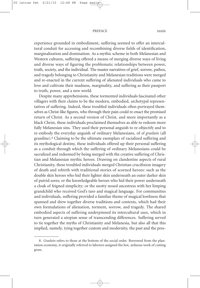#### PREFACE xxxix

experience grounded in embodiment, suffering seemed to offer an intercultural conduit for accessing and recombining diverse fields of identification, marginalization and domination. As a mythic scheme in both Melanesian and Western cultures, suffering offered a means of merging diverse ways of living and diverse ways of figuring the problematic relationships between power, truth, society, and the individual. The master narratives of grief, sorrow, pathos, and tragedy belonging to Christianity and Melanesian traditions were merged and re-enacted in the current suffering of alienated individuals who came to love and cultivate their madness, marginality, and suffering as their passport to truth, power, and a new world.

Despite many apprehensions, these tormented individuals fascinated other villagers with their claims to be the modern, embodied, archetypal representatives of suffering. Indeed, these troubled individuals often portrayed themselves as Christ-like figures, who through their pain could re-enact the promised return of Christ. As a second version of Christ, and more importantly as a black Christ, these individuals proclaimed themselves as able to redeem more fully Melanesian sins. They used their personal anguish to re-objectify and to re-embody the everyday anguish of ordinary Melanesians, of *ol graslain* (all grassline). <sup>8</sup> Claiming to be the ultimate exemplars of racialized suffering and its mythological destiny, these individuals offered up their personal suffering as a conduit through which the suffering of ordinary Melanesians could be sacralized and redeemed by being merged with the creative suffering of Christian and Melanesian mythic heroes. Drawing on clandestine aspects of rural Christianity, these troubled individuals merged Christian crucifixion imagery of death and rebirth with traditional stories of scorned heroes: such as the double skin heroes who hid their lighter skin underneath an outer darker skin of putrid sores; or the knowledgeable heroes who hid their power underneath a cloak of feigned simplicity; or the snotty nosed ancestress with her limping grandchild who received God's taro and magical language. For communities and individuals, suffering provided a familiar theme of magical lowliness that spanned and drew together diverse traditions and contexts, which had their own formulations of alienation, torment, sorrow, and tragedy. The shared embodied aspects of suffering underpinned its intercultural uses, which in turn generated a utopian sense of transcending differences. Suffering served to tie together the myths of Christianity and Melanesia, but also all that this implied, namely, tying together custom and modernity, the past and the pres-

<sup>8.</sup> *Graslain* refers to those at the bottom of the social order. Borrowed from the plantation economy, it originally referred to laborers assigned the hot, arduous work of cutting grass.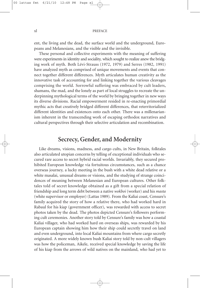ent, the living and the dead, the surface world and the underground, Europeans and Melanesians, and the visible and the invisible.

These personal and collective experiments with the meaning of suffering were experiments in identity and sociality, which sought to realize anew the bridging work of myth. Both Lévi-Strauss (1972, 1979) and Serres (1982, 1991) have analyzed myth as comprised of unique movements and events that connect together different differences. Myth articulates human creativity as the innovative task of accounting for and linking together the various cleavages comprising the world. Sorrowful suffering was embraced by cult leaders, shamans, the mad, and the lonely as part of local struggles to recreate the underpinning mythological terms of the world by bringing together in new ways its diverse divisions. Racial empowerment resided in re-enacting primordial mythic acts that creatively bridged different differences, that reterritorialized different identities and existences onto each other. There was a millenarianism inherent in the transcending work of escaping orthodox narratives and cultural perspectives through their selective articulation and recombination.

### **Secrecy, Gender, and Modernity**

Like dreams, visions, madness, and cargo cults, in New Britain, folktales also articulated utopian concerns by telling of exceptional individuals who secured rare access to secret hybrid racial worlds. Invariably, they secured prohibited European knowledge via fortuitous circumstances, such as a chance overseas journey, a lucky meeting in the bush with a white dead relative or a white masalai, unusual dreams or visions, and the studying of strange coincidences of meaning between Melanesian and European cultures. Other folktales told of secret knowledge obtained as a gift from a special relation of friendship and long term debt between a native *wokboi* (worker) and his *masta* (white supervisor or employer) (Lattas 1989). From the Kaliai coast, Censure's family acquired the story of how a relative there, who had worked hard in Rabaul for his kiap (government officer), was rewarded with access to secret photos taken by the dead. The photos depicted Censure's followers performing cult ceremonies. Another story told by Censure's family was how a coastal Kaliai villager, who had worked hard on overseas ships, was rewarded by his European captain showing him how their ship could secretly travel on land and even underground, into local Kaliai mountains from where cargo secretly originated. A more widely known bush Kaliai story told by non-cult villagers was how the policeman, Aikele, received special knowledge by saving the life of his kiap from the arrows of wild natives on the mainland, who had yet to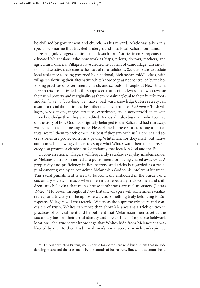### PREFACE xli

be civilized by government and church. As his reward, Aikele was taken in a special submarine that traveled underground into local Kaliai mountains.

Fearing jail, villagers continue to hide such "true" stories from Europeans and educated Melanesians, who now work as kiaps, priests, doctors, teachers, and agricultural officers. Villagers have created new forms of camouflage, dissimulation, and selective disclosure as the basis of rural solidarity. Secret folktales articulate local resistance to being governed by a national, Melanesian middle class, with villagers valorizing their alternative white knowledge as not controlled by the befooling practices of government, church, and schools. Throughout New Britain, new secrets are cultivated as the suppressed truths of backward folk who revalue their rural poverty and marginality as them remaining loyal to their *kanaka* roots and *kaulong savi* (cow-long, i.e., naïve, backward knowledge). Here secrecy can assume a racial dimension as the authentic native truths of *buskanaka* (bush villagers) whose myths, magical practices, experiences, and history provide them with more knowledge than they are credited. A coastal Kaliai big man, who touched on the story of how God had originally belonged to the Kaliai and had run away, was reluctant to tell me any more. He explained: "these stories belong to us natives, we tell them to each other; it is best if they stay with us." Here, shared secret stories are protected from a prying Whiteman, for they mark out native autonomy. In allowing villagers to escape what Whites want them to believe, secrecy also protects a clandestine Christianity that localizes God and the Fall.

In conversations, villagers will frequently racialize everyday misdemeanors as Melanesian traits inherited as a punishment for having chased away God. A propensity and proficiency in lies, secrets, and tricks is regarded as a racial punishment given by an ostracized Melanesian God to his intolerant kinsmen. This racial punishment is seen to be iconically embodied in the burden of a customary society of masks where men must repeatedly trick women and children into believing that men's house tambarans are real monsters (Lattas 1992c). <sup>9</sup> However, throughout New Britain, villagers will sometimes racialize secrecy and trickery in the opposite way, as something truly belonging to Europeans. Villagers will characterize Whites as the supreme tricksters and concealers of truth. Whites can more than show Melanesians a trick or two in practices of concealment and befoolment that Melanesian men covet as the customary basis of their artful identity and power. In all of my three fieldwork locations, the true secret knowledge that Whites hide from Melanesians was likened by men to their traditional men's house secrets, which underpinned

<sup>9.</sup> Throughout New Britain, men's house tambarans are wild bush spirits that include dancing masks and the cries made by the sounds of bullroarers, flutes, and coconut shells.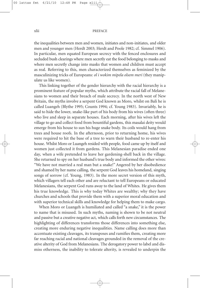### xlii PREFACE

the inequalities between men and women, initiates and non-initiates, and older men and younger men (Herdt 2003; Herdt and Poole 1982; cf. Simmel 1906). In particular, men equated European secrecy with the fenced enclosures and secluded bush clearings where men secretly eat the food belonging to masks and where men secretly change into masks that women and children must accept as real. Referring to this, men characterized themselves as feminized by the masculinizing tricks of Europeans: *ol i wokim mipela olsem meri* (they manipulate us like women).

This linking together of the gender hierarchy with the racial hierarchy is a prominent feature of popular myths, which attribute the racial fall of Melanesians to women and their breach of male secrecy. In the north west of New Britain, the myths involve a serpent God known as Moro, whilst on Bali he is called Luangeh (Blythe 1995; Counts 1994; cf. Young 1983). Invariably, he is said to hide the lower, snake-like part of his body from his wives (often three) who live and sleep in separate houses. Each morning, after his wives left the village to go and collect food from bountiful gardens, this masalai deity would emerge from his house to sun his huge snake body. Its coils would hang from trees and house roofs. In the afternoon, prior to returning home, his wives were required to hit the base of a tree to warn their husband to re-enter his house. Whilst Moro or Luangeh resided with people, food came up by itself and women just collected it from gardens. This Melanesian paradise ended one day, when a wife pretended to leave her gardening-shell back in the village. She returned to spy on her husband's true body and informed the other wives: "We have not married a real man but a snake!" Angered by her disobedience and shamed by her name calling, the serpent God leaves his homeland, singing songs of sorrow (cf. Young, 1983). In the more secret version of this myth, which villagers tell each other and are reluctant to tell Europeans or educated Melanesians, the serpent God runs away to the land of Whites. He gives them his true knowledge. This is why today Whites are wealthy; why they have churches and schools that provide them with a superior moral education and with superior technical skills and knowledge for helping them to make cargo.

When Moro or Luangeh is humiliated and called "a snake," it is the power to name that is misused. In such myths, naming is shown to be not neutral and passive but a creative negative act, which calls forth new circumstances. The highlighting of differences transforms those differences into something else, creating more enduring negative inequalities. Name calling does more than accentuate existing cleavages, its transposes and ramifies them, creating more far reaching racial and national cleavages grounded in the removal of the creative alterity of God from Melanesians. The derogatory power to label and dismiss otherness, the inability to tolerate alterity, is revealed to underpin the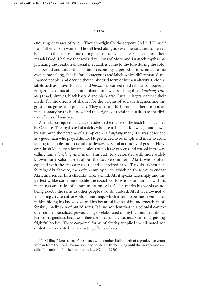### PREFACE xliii

enduring cleavages of race. <sup>10</sup> Though originally the serpent God hid Himself from others, from women, He still lived alongside Melanesians and conferred benefits to them. It is name calling that radically alienates villagers from their masalai God. I believe that revised versions of Moro and Luangeh myths emphasizing the creation of racial inequalities came to the fore during the colonial period and under the plantation economy, a period of time noted for its own name calling, that is, for its categories and labels which differentiated and shamed people; and decried their embodied form of human alterity. Colonial labels such as native, Kanaka, and *buskanaka* carried mild rebuke compared to villagers' accounts of kiaps and plantation owners calling them *longlong*, *kaulong* (mad, simple), black bastard and black arse. Rural villagers searched their myths for the origins of shame, for the origins of socially fragmenting linguistic categories and practices. They took up the humiliated hero or outcast in customary myths but now tied the origins of racial inequalities to the divisive effects of language.

A similar critique of language resides in the myths of the bush Kaliai cult led by Censure. The myths tell of a deity who use to hide his knowledge and power by assuming the persona of a simpleton (a *longlong* man). He was described as a good man who played dumb. He pretended to be simple and mute to avoid talking to people and to avoid the divisiveness and acrimony of gossip. However, bush Kaliai men became jealous of his large gardens and chased him away, calling him a *longlong rabis* man. This cult story resonated with more widely known bush Kaliai stories about the double skin hero, Akrit, who is often equated with the trickster figure and ostracized hero, Titikolo. When performing Akrit's voice, men often employ a lisp, which partly serves to endear Akrit and render him childlike. Like a child, Akrit speaks falteringly and imperfectly, like someone outside the social world who is unfamiliar with its meanings and rules of communication. Akrit's lisp marks his words as not being exactly the same as other people's words. Indeed, Akrit is renowned as inhabiting an alternative world of meaning, which is seen to be most exemplified in him hiding his knowledge and his beautiful lighter skin underneath an offensive, smelly skin of putrid sores. It is no accident that in a colonial context of embodied racialized power, villagers elaborated on myths about traditional heroes marginalized because of their corporeal difference, incapacity or disgusting, frightful bodies. These corporeal forms of alterity supplied the alienated god or deity who created the alienating effects of race.

<sup>10.</sup> Calling Moro "a snake" resonates with another Kaliai myth of a productive young woman from the dead who married and resided with the living until she was shamed and called "a tambaran" by her mother-in-law (Counts 1980).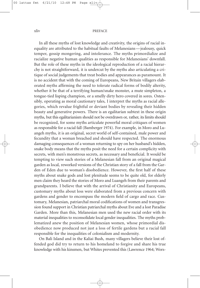### xliv PREFACE

In all these myths of lost knowledge and creativity, the origins of racial inequality are attributed to the habitual faults of Melanesians—jealousy, quick temper, gossip mongering, and intolerance. The myths primordialize and racialize negative human qualities as responsible for Melanesians' downfall. But the role of these myths in the ideological reproduction of a racial hierarchy is not straightforward, it is undercut by the myths also articulating a critique of social judgements that treat bodies and appearances as paramount. It is no accident that with the coming of Europeans, New Britain villagers elaborated myths affirming the need to tolerate radical forms of bodily alterity, whether it be that of a terrifying human/snake monster, a mute simpleton, a tongue-tied lisping champion, or a smelly dirty hero covered in sores. Ostensibly, operating as moral cautionary tales, I interpret the myths as racial allegories, which revalue frightful or deviant bodies by revealing their hidden beauty and generative powers. There is an egalitarian subtext in these origin myths, but this egalitarianism should not be overdrawn or, rather, its limits should be recognized, for some myths articulate powerful moral critiques of women as responsible for a racial fall (Bamberger 1974). For example, in Moro and Luangeh myths, it is an original, secret world of self-contained, male power and fecundity that a woman breached and should have respected. The enormous damaging consequences of a woman returning to spy on her husband's hidden, snake body means that the myths posit the need for a certain complicity with secrets, with men's monstrous secrets, as necessary and beneficial. It would be tempting to view such stories of a Melanesian fall from an original magical garden as local, reworked versions of the Christian story of a fall from the Garden of Eden due to woman's disobedience. However, the first half of these myths about snake gods and lost plenitude seems to be quite old, for elderly men claim they heard the stories of Moro and Luangeh from their parents and grandparents. I believe that with the arrival of Christianity and Europeans, customary myths about loss were elaborated from a previous concern with gardens and gender to encompass the modern field of cargo and race. Customary, Melanesian, patriarchal moral codifications of women and transgression found support in Christian patriarchal myths about Eve and a lost Paradise Garden. More than this, Melanesian men used the new racial order with its material inequalities to reconsolidate local gender inequalities. The myths problematized anew the position of Melanesian women, whose primordial disobedience now produced not just a loss of fertile gardens but a racial fall responsible for the inequalities of colonialism and modernity.

On Bali Island and in the Kaliai Bush, many villagers believe their lost offended god did try to return to his homeland to forgive and share his true knowledge with his kinsmen, but Whites prevented this (Lawrence 1964; Wors-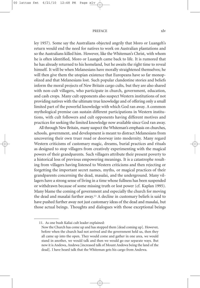### PREFACE xlv

ley 1957). Some say the Australians objected angrily that Moro or Luangeh's return would end the need for natives to work on Australian plantations and so the Australians killed him. However, like the Whiteman's Christ, with whom he is often identified, Moro or Luangeh came back to life. It is rumored that he has already returned to his homeland, but he awaits the right time to reveal himself. It will be when Melanesians have morally straightened themselves; he will then give them the utopian existence that Europeans have so far monopolized and that Melanesians lost. Such popular clandestine stories and beliefs inform the moral projects of New Britain cargo cults, but they are also shared with non-cult villagers, who participate in church, government, education, and cash crops. Many cult opponents also suspect Western institutions of not providing natives with the ultimate true knowledge and of offering only a small limited part of the powerful knowledge with which God ran away. A common mythological premise can sustain different participations in Western institutions, with cult followers and cult opponents having different motives and practices for seeking the limited knowledge now available since God ran away.

All through New Britain, many suspect the Whiteman's emphasis on churches, schools, government, and development is meant to distract Melanesians from uncovering their own truer road or doorway into modernity. Many regard Western criticisms of customary magic, dreams, burial practices and rituals as designed to stop villagers from creatively experimenting with the magical powers of their grandparents. Such villagers attribute their present poverty to a historical loss of previous empowering meanings. It is a catastrophe resulting from villagers having listened to Western criticisms and then rejecting or forgetting the important secret names, myths, or magical practices of their grandparents concerning the dead, masalai, and the underground. Many villagers have a strong sense of living in a time whose fullness has been suspended or withdrawn because of some missing truth or lost power (cf. Kaplan 1995). Many blame the coming of government and especially the church for moving the dead and masalai further away. <sup>11</sup> A decline in customary beliefs is said to have pushed further away not just customary ideas of the dead and masalai, but those actual beings. Thoughts and dialogues with those exceptional beings

<sup>11.</sup> As one bush Kaliai cult leader explained:

Now the Church has come up and has stopped them [dead coming up]. However, before when the church had not arrived and the government held us, then they all came up into the open. They would come and gather in one area, we would stand in another, we would talk and then we would go our separate ways. But now it is Andewa, Andewa [increased talk of Mount Andewa being the land of the dead]. I have heard talk that the Whiteman gets his cargo from Andewa.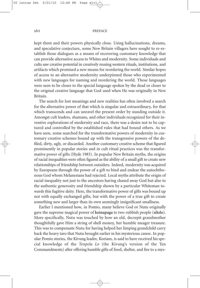### xlvi PREFACE

kept them and their powers physically close. Using hallucinations, dreams, and speculative conjecture, some New Britain villagers have sought to re-establish those dialogues as a means of recovering customary knowledge that can provide alternative access to Whites and modernity. Some individuals and cults saw creative potential in creatively reusing western rituals, institutions, and artifacts which promised a new means for reordering the world. Similar hopes of access to an alternative modernity underpinned those who experimented with new languages for naming and reordering the world. Those languages were seen to be closer to the special language spoken by the dead or closer to the original creative language that God used when He was originally in New Britain.

The search for lost meanings and new realities has often involved a search for the alternative power of that which is singular and extraordinary, for that which transcends and can unravel the present order by standing outside it. Amongst cult leaders, shamans, and other individuals recognized for their inventive explorations of modernity and race, there was a desire not to be captured and controlled by the established rules that had bound others. As we have seen, some searched for the transformative powers of modernity in customary creative schemes bound up with the transgressive powers of the defiled, dirty, ugly, or discarded. Another customary creative scheme that figured prominently in popular stories and in cult ritual practices was the transformative power of gifts (Hyde 1983). In popular New Britain myths, the origins of racial inequalities were often figured as the ability of a small gift to create new relationships of friendship between outsiders. Indeed, modernity was acquired by Europeans through the power of a gift to bind and endear the autochthonous God whom Melanesians had rejected. Local myths attribute the origin of racial inequality not just to the ancestors having chased away God but also to the authentic generosity and friendship shown by a particular Whiteman towards this fugitive deity. Here, the transformative power of gifts was bound up not with equally exchanged gifts, but with the power of a true gift to create something new and larger than its own seemingly insignificant smallness.

Earlier I mentioned how, in Pomio, many believe God or Nutu originally gave the supreme magical power of **koinapaga** to two rubbish people (**silolo**). More specifically, Nutu was touched by how an old, decrepit grandmother thoughtfully gave Him a string of shell money, her humble meager treasure. This was to compensate Nutu for having helped her limping grandchild carry back the heavy taro that Nutu brought earlier in his mysterious canoe. In popular Pomio stories, the Kivung leader, Koriam, is said to have received his special knowledge of the *Tenpela Lo* (the Kivung's version of the Ten Commandments) after offering humble gifts of food, shelter, and fire to a mys-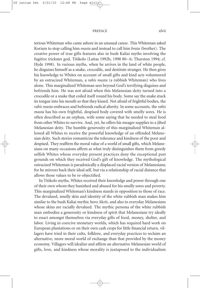### PREFACE xlvii

terious Whiteman who came ashore in an unusual canoe. This Whiteman asked Koriam to stop calling him *masta* and instead to call him *brata* (brother). The creative power of true gifts features also in bush Kaliai myths involving the fugitive trickster god, Titikolo (Lattas 1992b, 1998 80–6; Thurston 1994; cf. Hyde 1998). In various myths, when he arrives in the land of white people, he disguises himself as a snake, crocodile, and destitute stranger. He then gives his knowledge to Whites on account of small gifts and kind acts volunteered by an ostracized Whiteman, a *rabis masta* (a rubbish Whiteman) who lives alone. This marginalized Whiteman sees beyond God's terrifying disguises and befriends him. He was not afraid when this Melanesian deity turned into a crocodile or a snake that coiled itself round his body. Some say the snake stuck its tongue into his mouth so that they kissed. Not afraid of frightful bodies, the *rabis masta* embraces and befriends radical alterity. In some accounts, the *rabis masta* has his own frightful, despised body covered with smelly sores. He is often described as an orphan, with some saying that he needed to steal food from other Whites to survive. And, yet, he offers his meager supplies to a jilted Melanesian deity. The humble generosity of this marginalized Whiteman allowed all Whites to receive the powerful knowledge of an offended Melanesian deity. Such stories romanticize the tolerance and kindness of the poor and despised. They reaffirm the moral value of a world of small gifts, which Melanesians on many occasions affirm as what truly distinguishes them from greedy selfish Whites whose everyday present practices deny the exceptional past grounds on which they received God's gift of knowledge. The mythological ostracized Whiteman is paradoxically a displaced racial version of Melanesians; for he mirrors back their ideal self, but via a relationship of racial distance that allows those values to be re-objectified.

In Titikolo myths, Whites received their knowledge and power through one of their own whom they banished and abused for his smelly sores and poverty. This marginalized Whiteman's kindness stands in opposition to those of race. The devalued, smelly skin and identity of the white rubbish man makes him similar to the bush Kaliai mythic hero Akrit, and also to everyday Melanesians whose skins are racially devalued. The mythic persona of the white rubbish man embodies a generosity or kindness of spirit that Melanesians try ideally to enact amongst themselves via everyday gifts of food, money, shelter, and labor. Living in coercive monetary worlds, which has required hard work on European plantations or on their own cash crops for little financial return, villagers have tried in their cults, folklore, and everyday practices to reclaim an alternative, more moral world of exchange than that provided by the money economy. Villagers will idealize and affirm an alternative Melanesian world of gifts, love, and kindness whose morality is juxtaposed to the individualism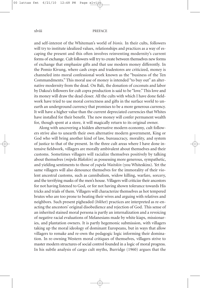### xlviii PREFACE

and self-interest of the Whiteman's world of *bisnis*. In their cults, followers will try to institute idealized values, relationships and practices as a way of escaping the present and this often involves reinventing modernity's current forms of exchange. Cult followers will try to create between themselves new forms of exchange that emphasize gifts and that use modern money differently. In the Pomio Kivung, where cash crops and tradestores are criticized, money is channeled into moral confessional work known as the "business of the Ten Commandments." This moral use of money is intended "to buy out" an alternative modernity from the dead. On Bali, the donation of coconuts and labor by Dakoa's followers for cult copra production is said to be "love."This love and its money will draw the dead closer. All the cults with which I have done fieldwork have tried to use moral correctness and gifts in the surface world to unearth an underground currency that promises to be a more generous currency. It will have a higher value than the current depreciated currencies that Whites have installed for their benefit. The new money will confer permanent wealth for, though spent at a store, it will magically return to its original owner.

Along with uncovering a hidden alternative modern economy, cult followers strive also to unearth their own alternative modern government, King or God who will bring another kind of law, bureaucracy, morality, and system of justice to that of the present. In the three cult areas where I have done intensive fieldwork, villagers are morally ambivalent about themselves and their customs. Sometimes villagers will racialize themselves positively by talking about themselves (*mipela Blakskin*) as possessing more generous, sympathetic, and yielding sentiments to those of *yupela Waitskin* (you Whiteskins). Yet the same villagers will also denounce themselves for the immorality of their violent ancestral customs, such as cannibalism, widow killing, warfare, sorcery, and the terrifying masks of the men's house. Villagers will criticize their ancestors for not having listened to God, or for not having shown tolerance towards His tricks and trials of them. Villagers will characterize themselves as hot tempered brutes who are too prone to beating their wives and arguing with relatives and neighbors. Such present pigheaded (*bikhet*) practices are interpreted as re-enacting the ancestors' original disobedience and rejection of God. This sense of an inherited stained moral persona is partly an internalization and a revoicing of negative racial evaluations of Melanesians made by white kiaps, missionaries, and plantation owners. It is partly hegemonic submission, with villagers taking up the moral ideology of dominant Europeans, but in ways that allow villagers to remake and re-own the pedagogic logic informing their domination. In re-owning Western moral critiques of themselves, villagers strive to master modern structures of social control founded in a logic of moral progress. In his subtle analysis of cargo cult myths, Burridge (1960) argues that the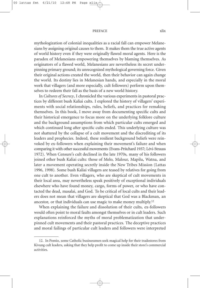#### PREFACE  $x$ lix

mythologization of colonial inequalities as a racial fall can empower Melanesians by assigning original causes to them. It makes them the true active agents of world history even if they were originally flawed moral agents. Here is the paradox of Melanesians empowering themselves by blaming themselves. As originators of a flawed world, Melanesians are nevertheless its secret underpinning primary ground; its unrecognized mythological governing force. Given their original actions created the world, then their behavior can again change the world. Its destiny lies in Melanesian hands, and especially in the moral work that villagers (and more especially, cult followers) perform upon themselves to redeem their fall as the basis of a new world history.

In *Cultures of Secrecy*, I chronicled the various experiments in pastoral practices by different bush Kaliai cults. I explored the history of villagers' experiments with social relationships, rules, beliefs, and practices for remaking themselves. In this book, I move away from documenting specific cults and their historical emergence to focus more on the underlying folklore culture and the background assumptions from which particular cults emerged and which continued long after specific cults ended. This underlying culture was not shattered by the collapse of a cult movement and the discrediting of its leaders and prophecies. Indeed, these resilient background beliefs were reinvoked by ex-followers when explaining their movement's failure and when comparing it with other successful movements (Evans-Pritchard 1937; Lévi-Strauss 1972). When Censure's cult declined in the late 1970s, many of his followers joined other bush Kaliai cults: those of Melo, Malour, Mapilu, Watna, and later a movement operating secretly inside the New Tribes Mission (Lattas 1996, 1998). Some bush Kaliai villagers are teased by relatives for going from one cult to another. Even villagers, who are skeptical of cult movements in their local area, may nevertheless speak positively of exceptional individuals elsewhere who have found money, cargo, forms of power, or who have contacted the dead, masalai, and God. To be critical of local cults and their leaders does not mean that villagers are skeptical that God was a Blackman, an ancestor, or that individuals can use magic to make money multiply. 12

When explaining the failure and dissolution of their cults, ex-followers would often point to moral faults amongst themselves or in cult leaders. Such explanations reinforced the myths of moral problematization that underpinned cult movements and their pastoral practices. The deceptive practices and moral failings of particular cult leaders and followers were interpreted

<sup>12.</sup> In Pomio, some Catholic businessmen seek magical help for their tradestores from Kivung cult leaders, asking that they help profit to come up inside their store's commercial activities.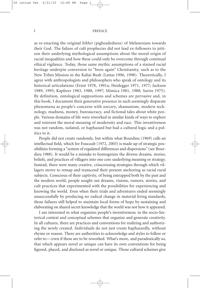### l PREFACE

as re-enacting the original *bikhet* (pigheadedness) of Melanesians towards their God. The failure of cult prophecies did not lead ex-followers to jettison their underlying mythological assumptions about the moral origin of racial inequalities and how these could only be overcome through continual ethical vigilance. Today, those same mythic assumptions of a stained racial heritage underpin conversion to "born again" Christianity, such as to the New Tribes Mission in the Kaliai Bush (Lattas 1996, 1998). Theoretically, I agree with anthropologists and philosophers who speak of ontology and its historical articulations (Ernst 1978, 1991a; Heidegger 1971, 1977; Jackson 1989, 1995; Kapferer 1983, 1988, 1997; Mimica 1981, 1988; Sartre 1975). By definition, ontological suppositions and schemes are pervasive and, in this book, I document their generative presence in such seemingly disparate phenomena as people's concerns with sorcery, shamanism, modern technology, madness, money, bureaucracy, and fictional tales about white people. Various domains of life were reworked in similar kinds of ways to explore and reinvent the moral meaning of modernity and race. This inventiveness was not random, isolated, or haphazard but had a cultural logic and a politics to it.

People did not create randomly, but within what Bourdieu (1969) calls an intellectual field, which for Foucault (1972, 2003) is made up of strategic possibilities forming a "system of regulated differences and dispersions" (see Bourdieu 1988). It would be a mistake to homogenize the diverse dreams, stories, beliefs, and practices of villagers into one core underlying meaning or strategy. Instead, there were many creative, crisscrossing strategies through which villagers strove to remap and transcend their present anchoring as racial rural subjects. Conscious of their captivity, of being entrapped both by the past and the modern world, people sought out dreams, visions, rumors, stories, and cult practices that experimented with the possibilities for experiencing and knowing the world. Even when their trials and adventures ended seemingly unsuccessfully by producing no radical change in material living standards, those failures still helped to maintain local forms of hope by sustaining and elaborating on shared secret knowledge that the world was not how it appeared.

I am interested in what organizes people's inventiveness; in the socio-historical context and conceptual schemes that organize and generate creativity. In all cultures, there are practices and conventions for realizing and authorizing the newly created. Individuals do not just create haphazardly, without rhyme or reason. There are authorities to acknowledge and styles to follow or refer to—even if these are to be reworked. What's more, and paradoxically so, that which appears novel or unique can have its own conventions for being figured, placed, and disclosed as novel or unique. Those cultural schemes give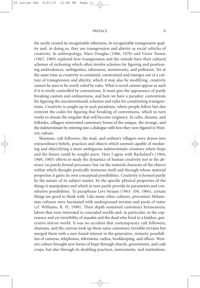### PREFACE li

the newly created its recognizable otherness, its recognizable transgressive quality and, in doing so, they use transgression and alterity as social vehicles of creativity. In anthropology, Mary Douglas (1966, 1970) and Victor Turner (1967, 1969) explored how transgression and the outside have their cultural schemes of reckoning which often involve schemes for figuring and positioning ambivalences, ambiguities, tabooness, monstrosity, and pollution. Yet at the same time as creativity is contained, constrained and emerges out of a culture of transgression and alterity, which it may also be modifying, creativity cannot be seen to be overly ruled by rules. What is novel cannot appear as such if it is overly controlled by conventions. It must give the appearance of partly breaking custom and ordinariness, and here we have a paradox: conventions for figuring the unconventional; schemes and rules for constituting transgressions. Creativity is caught up in such paradoxes, where people follow but also reinvent the codes for figuring that breaking of conventions, which in turn works to situate the singular that will become originary. In cults, dreams, and folktales, villagers reinvented customary forms of the unique, the strange, and the indeterminate by entering into a dialogue with how they were figured in Western culture.

Shamans, cult followers, the mad, and ordinary villagers were drawn into extraordinary beliefs, practices and objects which seemed capable of mediating and objectifying a more ambiguous indeterminate existence where hope and the future could be sought anew. Here I agree with Bachelard's (1964, 1969, 1983) efforts to study the dynamics of human creativity not in the abstract (as purely formal processes) but via the material character of the objects within which thought poetically immerses itself and through whose material properties it gains its own conceptual possibilities. Creativity is formed partly by the nature of its subject matter, by the specific physical properties of the things it manipulates and which in turn partly provide its parameters and constitutive possibilities. To paraphrase Lévi-Strauss (1963: 104, 1966), certain things are good to think with. Like many other cultures, precontact Melanesian cultures were fascinated with underground terrains and pools of water (cf. Williams, R. H. 1990). Their depth sustained customary hermeneutic labors that were interested in concealed worlds and, in particular, in the copresence and yet invisibility of masalai and the dead who lived in a hidden, generative mirror world. It was no accident that contemporary cult followers, shamans, and the curious took up those same customary invisible terrains but merged them with a new found interest in the generative, mimetic possibilities of cameras, telephones, televisions, radios, bookkeeping, and offices. Western culture brought new forms of hope through church, government, and cash crops, but also through its doubling practices, instruments, and institutions.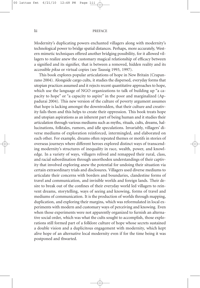### lii PREFACE

Modernity's duplicating powers enchanted villagers along with modernity's technological power to bridge spatial distances. Perhaps, more accurately, Western mimetic techniques offered another bridging possibility, for it allowed villagers to realize anew the customary magical relationship of efficacy between a signified and its signifier, that is between a removed, hidden reality and its accessible *piksa* or virtual copies (see Taussig 1993, 1997).

This book explores popular articulations of hope in New Britain (Crapanzano 2004). Alongside cargo cults, it studies the dispersed, everyday forms that utopian practices assumed and it rejects recent quantitative approaches to hope, which use the language of NGO organizations to talk of building up "a capacity to hope" or "a capacity to aspire" in the poor and marginalized (Appadurai 2004). This new version of the culture of poverty argument assumes that hope is lacking amongst the downtrodden, that their culture and creativity fails them and this helps to create their oppression. This book treats hope and utopian aspirations as an inherent part of being human and it studies their articulation through various mediums such as myths, rituals, cults, dreams, hallucinations, folktales, rumors, and idle speculations. Invariably, villagers' diverse mediums of exploration reinforced, intermingled, and elaborated on each other. For example, dreams often repeated themes or motifs in stories of overseas journeys where different heroes explored distinct ways of transcending modernity's structures of inequality in race, wealth, power, and knowledge. In a variety of ways, villagers relived and remapped their rural, class, and racial subordination through unorthodox understandings of their captivity that involved exploring anew the potential for undoing their situation via certain extraordinary trials and disclosures. Villagers used diverse mediums to articulate their concerns with borders and boundaries, clandestine forms of travel and communication, and invisible worlds and foreign lands. Their desire to break out of the confines of their everyday world led villagers to reinvent dreams, storytelling, ways of seeing and knowing, forms of travel and mediums of communication. It is the production of worlds through mapping, duplication, and exploring their margins, which was reformulated in local experiments with modern and customary ways of perceiving and knowing. Even when those experiments were not apparently organized to furnish an alternative social order, which was what the cults sought to accomplish, those explorations still formed part of a folklore culture of hope whose secrets sustained a double vision and a duplicitous engagement with modernity, which kept alive hope of an alternative local modernity even if for the time being it was postponed and thwarted.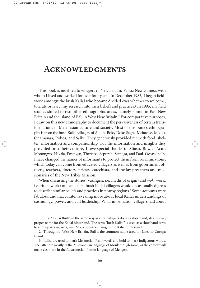## **Acknowledgments**

This book is indebted to villagers in New Britain, Papua New Guinea, with whom I lived and worked for over four years. In December 1985, I began fieldwork amongst the bush Kaliai who became divided over whether to welcome, tolerate or reject my research into their beliefs and practices. <sup>1</sup> In 1995, my field studies shifted to two other ethnographic areas, namely Pomio in East New Britain and the island of Bali in West New Britain. <sup>2</sup> For comparative purposes, I draw on this new ethnography to document the pervasiveness of certain transformations in Melanesian culture and society. Most of this book's ethnography is from the bush Kaliai villagers of Aikon, Bolo, Doko Sagra, Meitavale, Molou, Onamanga, Robos, and Salke. They generously provided me with food, shelter, information and companionship. For the information and insights they provided into their culture, I owe special thanks to Aliaso, Bowle, Acut, Monongyo, Nakala, Posingen, Thereesa, Septireh, Samaga, and Paul. Occasionally, I have changed the names of informants to protect them from recriminations, which today can come from educated villagers as well as from government officers, teachers, doctors, priests, catechists, and the lay preachers and missionaries of the New Tribes Mission.

When discussing the stories (**vasingen**, i.e. myths of origin) and *wok* (work, i.e. ritual work) of local cults, bush Kaliai villagers would occasionally digress to describe similar beliefs and practices in nearby regions. <sup>3</sup> Some accounts were fabulous and inaccurate, revealing more about local Kaliai understandings of cosmology, power, and cult leadership. What information villagers had about

<sup>1.</sup> I use "Kaliai Bush" in the same way as rural villagers do, as a shorthand, descriptive, proper name for the Kaliai hinterland. The term "bush Kaliai" is used as a shorthand term to sum up Anem, Aria, and Mouk speakers living in the Kaliai hinterland.

<sup>2.</sup> Throughout West New Britain, Bali is the common name used for Unea or Uneapa Island.

<sup>3.</sup> Italics are used to mark Melanesian Pisin words and bold to mark indigenous words. The latter are mostly in the Austronesian language of Mouk though some, as the context will make clear, are in the Austronesian Pomio language of Mengen.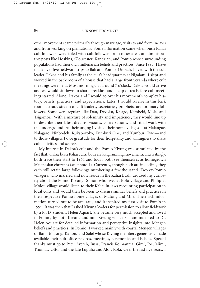other movements came primarily through marriage, visits to and from in-laws and from working on plantations. Some information came when bush Kaliai cult followers were jailed with cult followers from other areas at administrative posts like Hoskins, Gloucester, Kandrian, and Pomio whose surrounding populations had their own millenarian beliefs and practices. Since 1995, I have made over five fieldwork trips to Bali and Pomio. On Bali, I lived with the cult leader Dakoa and his family at the cult's headquarters at Nigalani. I slept and worked in the back room of a house that had a large front veranda where cult meetings were held. Most mornings, at around 7 o'clock, Dakoa would arrive and we would sit down to share breakfast and a cup of tea before cult meetings started. Alone, Dakoa and I would go over his movement's complex history, beliefs, practices, and expectations. Later, I would receive in this back room a steady stream of cult leaders, secretaries, prophets, and ordinary followers. Some were regulars like Dau, Devoku, Kalago, Kambeki, Moia, and Tsigomori. With a mixture of solemnity and impatience, they would line up to describe their latest dreams, visions, conversations, and ritual work with the underground. At their urging I visited their home villages—at Malangae, Nalagaro, Ninbodeh, Rukaboroko, Kumburi One, and Kumburi Two—and to those villagers I owe gratitude for their hospitality and willingness to share cult activities and secrets.

My interest in Dakoa's cult and the Pomio Kivung was stimulated by the fact that, unlike bush Kaliai cults, both are long running movements. Interestingly, both trace their start to 1964 and today both see themselves as homegrown Melanesian churches (see photo 1). Currently, though both are in decline, they each still retain large followings numbering a few thousand. Two ex-Pomio villagers, who married and now reside in the Kaliai Bush, aroused my curiosity about the Pomio Kivung. Simon who lives at Bolo village and Philip at Molou village would listen to their Kaliai in-laws recounting participation in local cults and would then be keen to discuss similar beliefs and practices in their respective Pomio home villages of Matong and Mile. Their rich information turned out to be accurate; and it inspired my first visit to Pomio in 1995. It was then that I asked Kivung leaders for permission to allow fieldwork by a Ph.D. student, Helen Aquart. She became very much accepted and loved in Pomio, by both Kivung and non-Kivung villagers. I am indebted to Dr. Helen Aquart for detailed information and perceptive insights into Mengen beliefs and practices. In Pomio, I worked mainly with coastal Mengen villages of Bain, Matong, Kaiton, and Salel whose Kivung members generously made available their cult office records, meetings, ceremonies and beliefs. Special thanks must go to Peter Avereh, Busa, Francis Koimanrea, Gimi, Joe, Mimi, Thomas, Otto, and the late Lopulia and Alois Koki. Over the last five years, I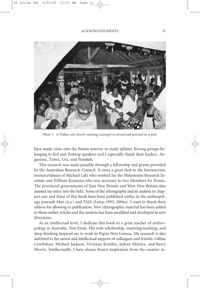

*Photo 1. A Dakoa cult church meeting; Luangeh is carved and painted on a post.*

have made visits into the Pomio interior to study splinter Kivung groups belonging to Kol and Tomoip speakers and I especially thank their leaders, Augustine, Timoi, Ura, and Penekeh.

This research was made possible through a fellowship and grants provided by the Australian Research Council. It owes a great deal to the bureaucratic resourcefulness of Michael Laki who worked for the Melanesian Research Institute and William Koiatuna who was secretary to two Members for Pomio. The provincial governments of East New Britain and West New Britain also assisted my entry into the field. Some of the ethnography and its analysis in chapters one and three of this book have been published earlier in the anthropology journals *Man* (n.s.) and *TAJA* (Lattas 1993; 2006a). I want to thank their editors for allowing re-publication. New ethnographic material has been added to those earlier articles and the analysis has been modified and developed in new directions.

At an intellectual level, I dedicate this book to a great teacher of anthropology in Australia, Tom Ernst. His wide scholarship, inspiring teaching, and deep thinking inspired me to work in Papua New Guinea. My research is also indebted to the moral and intellectual support of colleagues and friends: Gillian Cowlishaw, Michael Jackson, Vivienne Kondos, Jadran Mimica, and Barry Morris. Intellectually, I have always drawn inspiration from the creative in